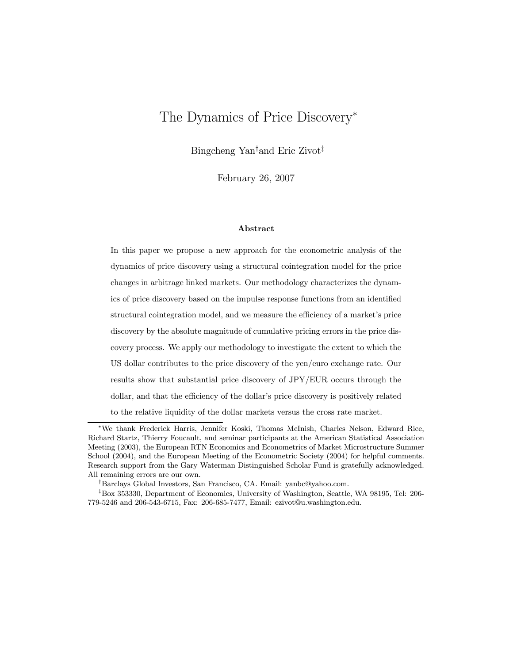## The Dynamics of Price Discovery<sup>∗</sup>

Bingcheng Yan† and Eric Zivot‡

February 26, 2007

#### Abstract

In this paper we propose a new approach for the econometric analysis of the dynamics of price discovery using a structural cointegration model for the price changes in arbitrage linked markets. Our methodology characterizes the dynamics of price discovery based on the impulse response functions from an identified structural cointegration model, and we measure the efficiency of a market's price discovery by the absolute magnitude of cumulative pricing errors in the price discovery process. We apply our methodology to investigate the extent to which the US dollar contributes to the price discovery of the yen/euro exchange rate. Our results show that substantial price discovery of JPY/EUR occurs through the dollar, and that the efficiency of the dollar's price discovery is positively related to the relative liquidity of the dollar markets versus the cross rate market.

<sup>∗</sup>We thank Frederick Harris, Jennifer Koski, Thomas McInish, Charles Nelson, Edward Rice, Richard Startz, Thierry Foucault, and seminar participants at the American Statistical Association Meeting (2003), the European RTN Economics and Econometrics of Market Microstructure Summer School (2004), and the European Meeting of the Econometric Society (2004) for helpful comments. Research support from the Gary Waterman Distinguished Scholar Fund is gratefully acknowledged. All remaining errors are our own.

<sup>†</sup>Barclays Global Investors, San Francisco, CA. Email: yanbc@yahoo.com.

<sup>‡</sup>Box 353330, Department of Economics, University of Washington, Seattle, WA 98195, Tel: 206- 779-5246 and 206-543-6715, Fax: 206-685-7477, Email: ezivot@u.washington.edu.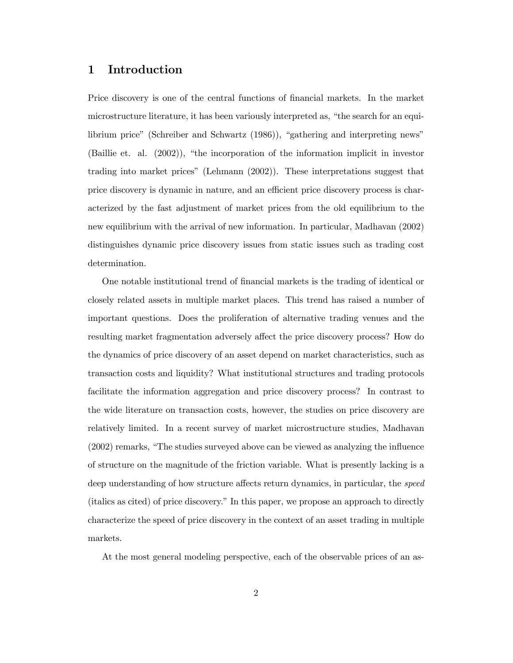## 1 Introduction

Price discovery is one of the central functions of financial markets. In the market microstructure literature, it has been variously interpreted as, "the search for an equilibrium price" (Schreiber and Schwartz (1986)), "gathering and interpreting news" (Baillie et. al. (2002)), "the incorporation of the information implicit in investor trading into market prices" (Lehmann (2002)). These interpretations suggest that price discovery is dynamic in nature, and an efficient price discovery process is characterized by the fast adjustment of market prices from the old equilibrium to the new equilibrium with the arrival of new information. In particular, Madhavan (2002) distinguishes dynamic price discovery issues from static issues such as trading cost determination.

One notable institutional trend of financial markets is the trading of identical or closely related assets in multiple market places. This trend has raised a number of important questions. Does the proliferation of alternative trading venues and the resulting market fragmentation adversely affect the price discovery process? How do the dynamics of price discovery of an asset depend on market characteristics, such as transaction costs and liquidity? What institutional structures and trading protocols facilitate the information aggregation and price discovery process? In contrast to the wide literature on transaction costs, however, the studies on price discovery are relatively limited. In a recent survey of market microstructure studies, Madhavan (2002) remarks, "The studies surveyed above can be viewed as analyzing the influence of structure on the magnitude of the friction variable. What is presently lacking is a deep understanding of how structure affects return dynamics, in particular, the *speed* (italics as cited) of price discovery." In this paper, we propose an approach to directly characterize the speed of price discovery in the context of an asset trading in multiple markets.

At the most general modeling perspective, each of the observable prices of an as-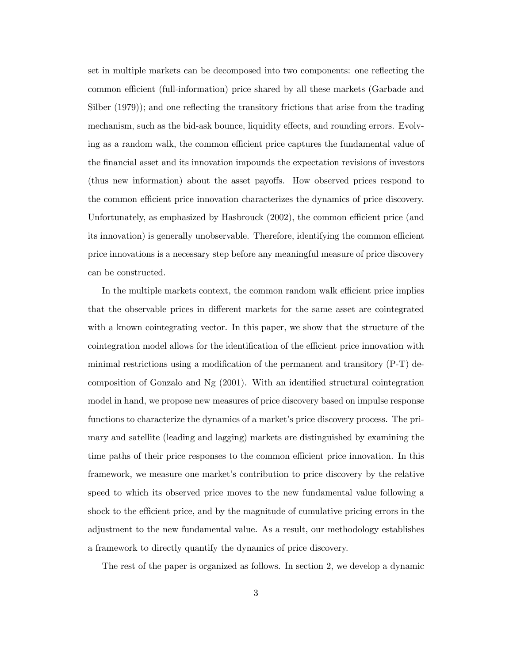set in multiple markets can be decomposed into two components: one reflecting the common efficient (full-information) price shared by all these markets (Garbade and Silber (1979)); and one reflecting the transitory frictions that arise from the trading mechanism, such as the bid-ask bounce, liquidity effects, and rounding errors. Evolving as a random walk, the common efficient price captures the fundamental value of the financial asset and its innovation impounds the expectation revisions of investors (thus new information) about the asset payoffs. How observed prices respond to the common efficient price innovation characterizes the dynamics of price discovery. Unfortunately, as emphasized by Hasbrouck (2002), the common efficient price (and its innovation) is generally unobservable. Therefore, identifying the common efficient price innovations is a necessary step before any meaningful measure of price discovery can be constructed.

In the multiple markets context, the common random walk efficient price implies that the observable prices in different markets for the same asset are cointegrated with a known cointegrating vector. In this paper, we show that the structure of the cointegration model allows for the identification of the efficient price innovation with minimal restrictions using a modification of the permanent and transitory (P-T) decomposition of Gonzalo and Ng (2001). With an identified structural cointegration model in hand, we propose new measures of price discovery based on impulse response functions to characterize the dynamics of a market's price discovery process. The primary and satellite (leading and lagging) markets are distinguished by examining the time paths of their price responses to the common efficient price innovation. In this framework, we measure one market's contribution to price discovery by the relative speed to which its observed price moves to the new fundamental value following a shock to the efficient price, and by the magnitude of cumulative pricing errors in the adjustment to the new fundamental value. As a result, our methodology establishes a framework to directly quantify the dynamics of price discovery.

The rest of the paper is organized as follows. In section 2, we develop a dynamic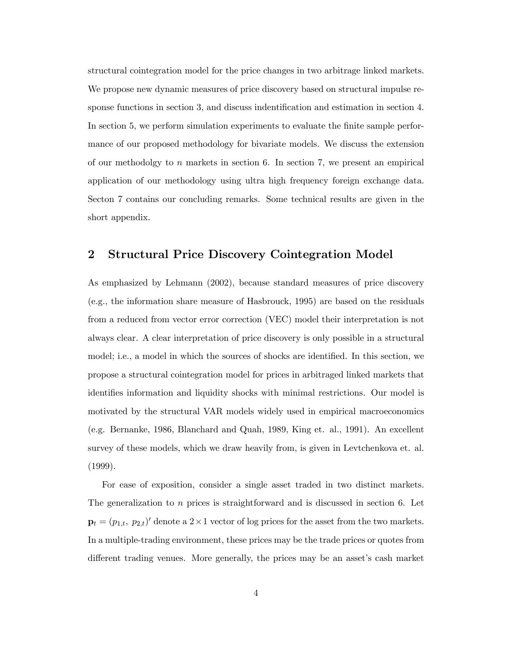structural cointegration model for the price changes in two arbitrage linked markets. We propose new dynamic measures of price discovery based on structural impulse response functions in section 3, and discuss indentification and estimation in section 4. In section 5, we perform simulation experiments to evaluate the finite sample performance of our proposed methodology for bivariate models. We discuss the extension of our methodolgy to  $n$  markets in section 6. In section 7, we present an empirical application of our methodology using ultra high frequency foreign exchange data. Secton 7 contains our concluding remarks. Some technical results are given in the short appendix.

## 2 Structural Price Discovery Cointegration Model

As emphasized by Lehmann (2002), because standard measures of price discovery (e.g., the information share measure of Hasbrouck, 1995) are based on the residuals from a reduced from vector error correction (VEC) model their interpretation is not always clear. A clear interpretation of price discovery is only possible in a structural model; i.e., a model in which the sources of shocks are identified. In this section, we propose a structural cointegration model for prices in arbitraged linked markets that identifies information and liquidity shocks with minimal restrictions. Our model is motivated by the structural VAR models widely used in empirical macroeconomics (e.g. Bernanke, 1986, Blanchard and Quah, 1989, King et. al., 1991). An excellent survey of these models, which we draw heavily from, is given in Levtchenkova et. al. (1999).

For ease of exposition, consider a single asset traded in two distinct markets. The generalization to n prices is straightforward and is discussed in section 6. Let  $\mathbf{p}_t = (p_{1,t}, p_{2,t})'$  denote a  $2 \times 1$  vector of log prices for the asset from the two markets. In a multiple-trading environment, these prices may be the trade prices or quotes from different trading venues. More generally, the prices may be an asset's cash market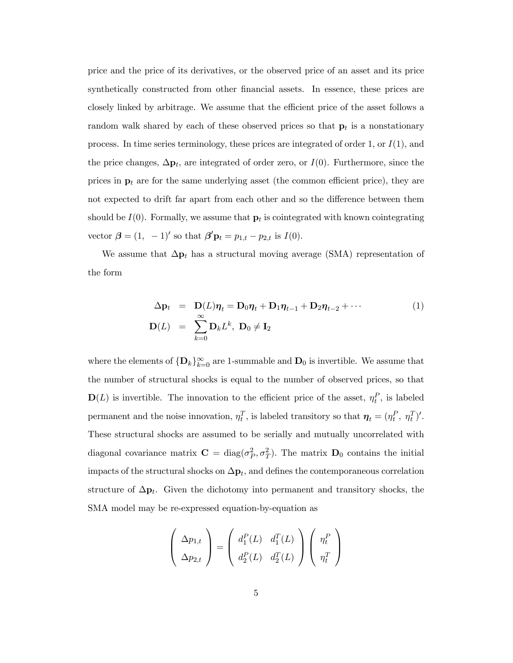price and the price of its derivatives, or the observed price of an asset and its price synthetically constructed from other financial assets. In essence, these prices are closely linked by arbitrage. We assume that the efficient price of the asset follows a random walk shared by each of these observed prices so that  $\mathbf{p}_t$  is a nonstationary process. In time series terminology, these prices are integrated of order 1, or  $I(1)$ , and the price changes,  $\Delta \mathbf{p}_t$ , are integrated of order zero, or  $I(0)$ . Furthermore, since the prices in  $\mathbf{p}_t$  are for the same underlying asset (the common efficient price), they are not expected to drift far apart from each other and so the difference between them should be  $I(0)$ . Formally, we assume that  $\mathbf{p}_t$  is cointegrated with known cointegrating vector  $\boldsymbol{\beta} = (1, -1)'$  so that  $\boldsymbol{\beta}' \mathbf{p}_t = p_{1,t} - p_{2,t}$  is  $I(0)$ .

We assume that  $\Delta p_t$  has a structural moving average (SMA) representation of the form

$$
\Delta \mathbf{p}_t = \mathbf{D}(L)\boldsymbol{\eta}_t = \mathbf{D}_0 \boldsymbol{\eta}_t + \mathbf{D}_1 \boldsymbol{\eta}_{t-1} + \mathbf{D}_2 \boldsymbol{\eta}_{t-2} + \cdots
$$
  
\n
$$
\mathbf{D}(L) = \sum_{k=0}^{\infty} \mathbf{D}_k L^k, \ \mathbf{D}_0 \neq \mathbf{I}_2
$$
 (1)

where the elements of  ${\{\mathbf D_k\}}_{k=0}^\infty$  are 1-summable and  $\mathbf D_0$  is invertible. We assume that the number of structural shocks is equal to the number of observed prices, so that  $\mathbf{D}(L)$  is invertible. The innovation to the efficient price of the asset,  $\eta_t^P$ , is labeled permanent and the noise innovation,  $\eta_t^T$ , is labeled transitory so that  $\boldsymbol{\eta}_t = (\eta_t^P, \eta_t^T)'$ . These structural shocks are assumed to be serially and mutually uncorrelated with diagonal covariance matrix  $\mathbf{C} = \text{diag}(\sigma_P^2, \sigma_T^2)$ . The matrix  $\mathbf{D}_0$  contains the initial impacts of the structural shocks on  $\Delta p_t$ , and defines the contemporaneous correlation structure of  $\Delta p_t$ . Given the dichotomy into permanent and transitory shocks, the SMA model may be re-expressed equation-by-equation as

$$
\left(\begin{array}{c}\Delta p_{1,t} \\ \Delta p_{2,t}\end{array}\right) = \left(\begin{array}{cc} d_1^P(L) & d_1^T(L) \\ d_2^P(L) & d_2^T(L)\end{array}\right) \left(\begin{array}{c} \eta_t^P \\ \eta_t^T\end{array}\right)
$$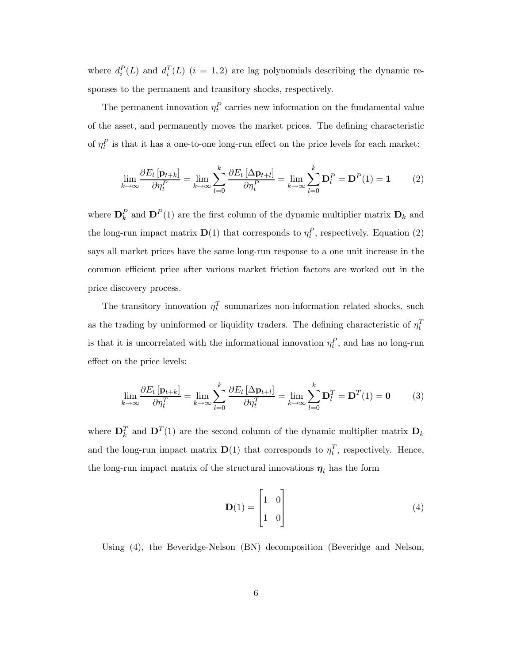where  $d_i^P(L)$  and  $d_i^T(L)$   $(i = 1, 2)$  are lag polynomials describing the dynamic responses to the permanent and transitory shocks, respectively.

The permanent innovation  $\eta_t^P$  carries new information on the fundamental value of the asset, and permanently moves the market prices. The defining characteristic of  $\eta_t^P$  is that it has a one-to-one long-run effect on the price levels for each market:

$$
\lim_{k \to \infty} \frac{\partial E_t \left[ \mathbf{p}_{t+k} \right]}{\partial \eta_t^P} = \lim_{k \to \infty} \sum_{l=0}^k \frac{\partial E_t \left[ \Delta \mathbf{p}_{t+l} \right]}{\partial \eta_t^P} = \lim_{k \to \infty} \sum_{l=0}^k \mathbf{D}_l^P = \mathbf{D}^P(1) = \mathbf{1}
$$
 (2)

where  $\mathbf{D}_k^P$  and  $\mathbf{D}^P(1)$  are the first column of the dynamic multiplier matrix  $\mathbf{D}_k$  and the long-run impact matrix  $\mathbf{D}(1)$  that corresponds to  $\eta_t^P$ , respectively. Equation (2) says all market prices have the same long-run response to a one unit increase in the common efficient price after various market friction factors are worked out in the price discovery process.

The transitory innovation  $\eta_t^T$  summarizes non-information related shocks, such as the trading by uninformed or liquidity traders. The defining characteristic of  $\eta_t^T$ is that it is uncorrelated with the informational innovation  $\eta_t^P$ , and has no long-run effect on the price levels:

$$
\lim_{k \to \infty} \frac{\partial E_t \left[ \mathbf{p}_{t+k} \right]}{\partial \eta_t^T} = \lim_{k \to \infty} \sum_{l=0}^k \frac{\partial E_t \left[ \Delta \mathbf{p}_{t+l} \right]}{\partial \eta_t^T} = \lim_{k \to \infty} \sum_{l=0}^k \mathbf{D}_l^T = \mathbf{D}^T(1) = \mathbf{0}
$$
 (3)

where  $\mathbf{D}_k^T$  and  $\mathbf{D}^T(1)$  are the second column of the dynamic multiplier matrix  $\mathbf{D}_k$ and the long-run impact matrix  $\mathbf{D}(1)$  that corresponds to  $\eta_t^T$ , respectively. Hence, the long-run impact matrix of the structural innovations  $\eta_t$  has the form

$$
\mathbf{D}(1) = \begin{bmatrix} 1 & 0 \\ 1 & 0 \end{bmatrix} \tag{4}
$$

Using (4), the Beveridge-Nelson (BN) decomposition (Beveridge and Nelson,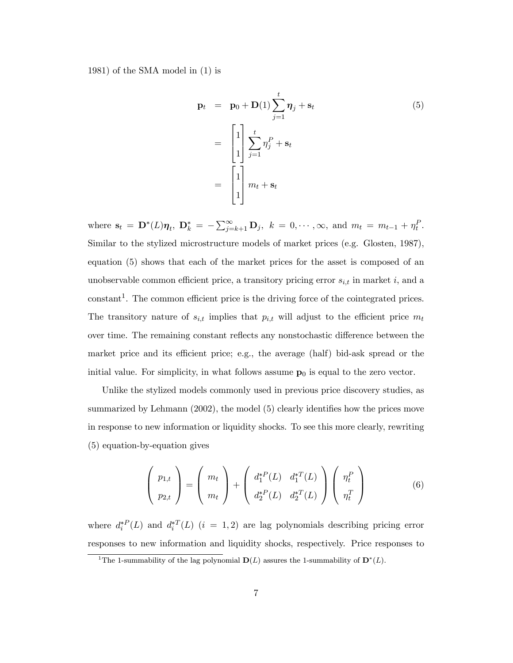1981) of the SMA model in (1) is

$$
\mathbf{p}_t = \mathbf{p}_0 + \mathbf{D}(1) \sum_{j=1}^t \boldsymbol{\eta}_j + \mathbf{s}_t
$$
\n
$$
= \begin{bmatrix} 1 \\ 1 \\ 1 \end{bmatrix} \sum_{j=1}^t \eta_j^P + \mathbf{s}_t
$$
\n
$$
= \begin{bmatrix} 1 \\ 1 \\ 1 \end{bmatrix} m_t + \mathbf{s}_t
$$
\n(5)

where  $\mathbf{s}_t = \mathbf{D}^*(L)\boldsymbol{\eta}_t$ ,  $\mathbf{D}_k^* = -\sum_{j=k+1}^{\infty} \mathbf{D}_j$ ,  $k = 0, \cdots, \infty$ , and  $m_t = m_{t-1} + \eta_t^P$ . Similar to the stylized microstructure models of market prices (e.g. Glosten, 1987), equation (5) shows that each of the market prices for the asset is composed of an unobservable common efficient price, a transitory pricing error  $s_{i,t}$  in market i, and a  $constant<sup>1</sup>$ . The common efficient price is the driving force of the cointegrated prices. The transitory nature of  $s_{i,t}$  implies that  $p_{i,t}$  will adjust to the efficient price  $m_t$ over time. The remaining constant reflects any nonstochastic difference between the market price and its efficient price; e.g., the average (half) bid-ask spread or the initial value. For simplicity, in what follows assume  $p_0$  is equal to the zero vector.

Unlike the stylized models commonly used in previous price discovery studies, as summarized by Lehmann (2002), the model (5) clearly identifies how the prices move in response to new information or liquidity shocks. To see this more clearly, rewriting (5) equation-by-equation gives

$$
\begin{pmatrix} p_{1,t} \\ p_{2,t} \end{pmatrix} = \begin{pmatrix} m_t \\ m_t \end{pmatrix} + \begin{pmatrix} d_1^{*P}(L) & d_1^{*T}(L) \\ d_2^{*P}(L) & d_2^{*T}(L) \end{pmatrix} \begin{pmatrix} \eta_t^P \\ \eta_t^T \end{pmatrix}
$$
(6)

where  $d_i^{*P}(L)$  and  $d_i^{*T}(L)$   $(i = 1, 2)$  are lag polynomials describing pricing error responses to new information and liquidity shocks, respectively. Price responses to

<sup>&</sup>lt;sup>1</sup>The 1-summability of the lag polynomial  $D(L)$  assures the 1-summability of  $D^*(L)$ .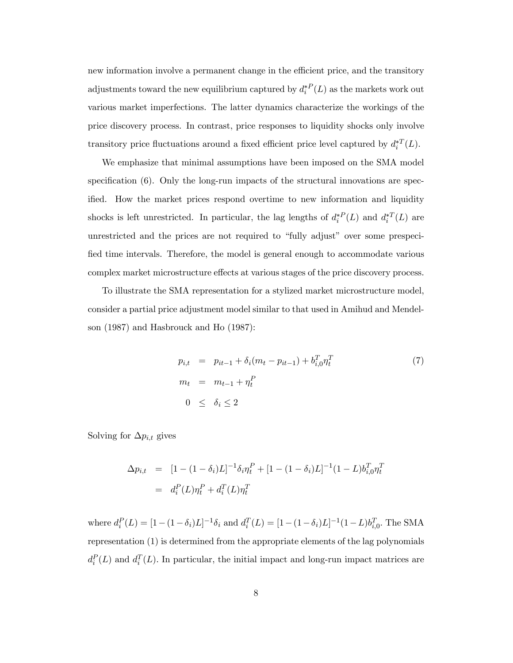new information involve a permanent change in the efficient price, and the transitory adjustments toward the new equilibrium captured by  $d_i^{*P}(L)$  as the markets work out various market imperfections. The latter dynamics characterize the workings of the price discovery process. In contrast, price responses to liquidity shocks only involve transitory price fluctuations around a fixed efficient price level captured by  $d_i^{*T}(L)$ .

We emphasize that minimal assumptions have been imposed on the SMA model specification (6). Only the long-run impacts of the structural innovations are specified. How the market prices respond overtime to new information and liquidity shocks is left unrestricted. In particular, the lag lengths of  $d_i^{*P}(L)$  and  $d_i^{*T}(L)$  are unrestricted and the prices are not required to "fully adjust" over some prespecified time intervals. Therefore, the model is general enough to accommodate various complex market microstructure effects at various stages of the price discovery process.

To illustrate the SMA representation for a stylized market microstructure model, consider a partial price adjustment model similar to that used in Amihud and Mendelson (1987) and Hasbrouck and Ho (1987):

$$
p_{i,t} = p_{it-1} + \delta_i (m_t - p_{it-1}) + b_{i,0}^T \eta_t^T
$$
  
\n
$$
m_t = m_{t-1} + \eta_t^P
$$
  
\n
$$
0 \le \delta_i \le 2
$$
 (7)

Solving for  $\Delta p_{i,t}$  gives

$$
\Delta p_{i,t} = [1 - (1 - \delta_i)L]^{-1} \delta_i \eta_t^P + [1 - (1 - \delta_i)L]^{-1} (1 - L) b_{i,0}^T \eta_t^T
$$
  
= 
$$
d_i^P(L) \eta_t^P + d_i^T(L) \eta_t^T
$$

where  $d_i^P(L) = [1 - (1 - \delta_i)L]^{-1}\delta_i$  and  $d_i^T(L) = [1 - (1 - \delta_i)L]^{-1}(1 - L)b_{i,0}^T$ . The SMA representation (1) is determined from the appropriate elements of the lag polynomials  $d_i^P(L)$  and  $d_i^T(L)$ . In particular, the initial impact and long-run impact matrices are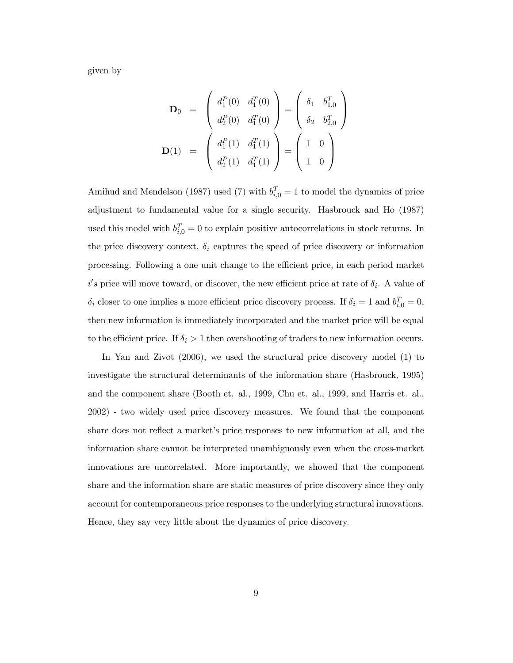given by

$$
\mathbf{D}_0 = \begin{pmatrix} d_1^P(0) & d_1^T(0) \\ d_2^P(0) & d_1^T(0) \end{pmatrix} = \begin{pmatrix} \delta_1 & b_{1,0}^T \\ \delta_2 & b_{2,0}^T \end{pmatrix}
$$

$$
\mathbf{D}(1) = \begin{pmatrix} d_1^P(1) & d_1^T(1) \\ d_2^P(1) & d_1^T(1) \end{pmatrix} = \begin{pmatrix} 1 & 0 \\ 1 & 0 \end{pmatrix}
$$

Amihud and Mendelson (1987) used (7) with  $b_{i,0}^T = 1$  to model the dynamics of price adjustment to fundamental value for a single security. Hasbrouck and Ho (1987) used this model with  $b_{i,0}^T = 0$  to explain positive autocorrelations in stock returns. In the price discovery context,  $\delta_i$  captures the speed of price discovery or information processing. Following a one unit change to the efficient price, in each period market  $i's$  price will move toward, or discover, the new efficient price at rate of  $\delta_i$ . A value of  $\delta_i$  closer to one implies a more efficient price discovery process. If  $\delta_i = 1$  and  $b_{i,0}^T = 0$ , then new information is immediately incorporated and the market price will be equal to the efficient price. If  $\delta_i > 1$  then overshooting of traders to new information occurs.

In Yan and Zivot (2006), we used the structural price discovery model (1) to investigate the structural determinants of the information share (Hasbrouck, 1995) and the component share (Booth et. al., 1999, Chu et. al., 1999, and Harris et. al., 2002) - two widely used price discovery measures. We found that the component share does not reflect a market's price responses to new information at all, and the information share cannot be interpreted unambiguously even when the cross-market innovations are uncorrelated. More importantly, we showed that the component share and the information share are static measures of price discovery since they only account for contemporaneous price responses to the underlying structural innovations. Hence, they say very little about the dynamics of price discovery.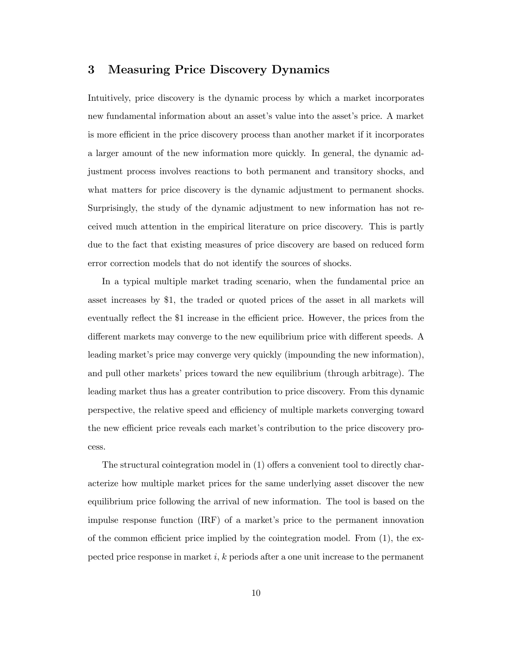## 3 Measuring Price Discovery Dynamics

Intuitively, price discovery is the dynamic process by which a market incorporates new fundamental information about an asset's value into the asset's price. A market is more efficient in the price discovery process than another market if it incorporates a larger amount of the new information more quickly. In general, the dynamic adjustment process involves reactions to both permanent and transitory shocks, and what matters for price discovery is the dynamic adjustment to permanent shocks. Surprisingly, the study of the dynamic adjustment to new information has not received much attention in the empirical literature on price discovery. This is partly due to the fact that existing measures of price discovery are based on reduced form error correction models that do not identify the sources of shocks.

In a typical multiple market trading scenario, when the fundamental price an asset increases by \$1, the traded or quoted prices of the asset in all markets will eventually reflect the \$1 increase in the efficient price. However, the prices from the different markets may converge to the new equilibrium price with different speeds. A leading market's price may converge very quickly (impounding the new information), and pull other markets' prices toward the new equilibrium (through arbitrage). The leading market thus has a greater contribution to price discovery. From this dynamic perspective, the relative speed and efficiency of multiple markets converging toward the new efficient price reveals each market's contribution to the price discovery process.

The structural cointegration model in (1) offers a convenient tool to directly characterize how multiple market prices for the same underlying asset discover the new equilibrium price following the arrival of new information. The tool is based on the impulse response function (IRF) of a market's price to the permanent innovation of the common efficient price implied by the cointegration model. From (1), the expected price response in market  $i, k$  periods after a one unit increase to the permanent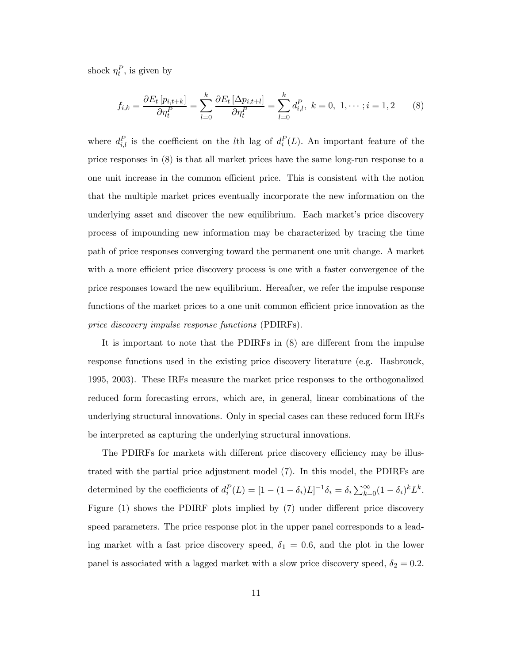shock  $\eta_t^P$ , is given by

$$
f_{i,k} = \frac{\partial E_t \left[ p_{i,t+k} \right]}{\partial \eta_t^P} = \sum_{l=0}^k \frac{\partial E_t \left[ \Delta p_{i,t+l} \right]}{\partial \eta_t^P} = \sum_{l=0}^k d_{i,l}^P, \ k = 0, 1, \dots; i = 1, 2 \tag{8}
$$

where  $d_{i,l}^P$  is the coefficient on the lth lag of  $d_i^P(L)$ . An important feature of the price responses in (8) is that all market prices have the same long-run response to a one unit increase in the common efficient price. This is consistent with the notion that the multiple market prices eventually incorporate the new information on the underlying asset and discover the new equilibrium. Each market's price discovery process of impounding new information may be characterized by tracing the time path of price responses converging toward the permanent one unit change. A market with a more efficient price discovery process is one with a faster convergence of the price responses toward the new equilibrium. Hereafter, we refer the impulse response functions of the market prices to a one unit common efficient price innovation as the price discovery impulse response functions (PDIRFs).

It is important to note that the PDIRFs in (8) are different from the impulse response functions used in the existing price discovery literature (e.g. Hasbrouck, 1995, 2003). These IRFs measure the market price responses to the orthogonalized reduced form forecasting errors, which are, in general, linear combinations of the underlying structural innovations. Only in special cases can these reduced form IRFs be interpreted as capturing the underlying structural innovations.

The PDIRFs for markets with different price discovery efficiency may be illustrated with the partial price adjustment model (7). In this model, the PDIRFs are determined by the coefficients of  $d_i^P(L) = [1 - (1 - \delta_i)L]^{-1} \delta_i = \delta_i \sum_{k=0}^{\infty} (1 - \delta_i)^k L^k$ . Figure (1) shows the PDIRF plots implied by (7) under different price discovery speed parameters. The price response plot in the upper panel corresponds to a leading market with a fast price discovery speed,  $\delta_1 = 0.6$ , and the plot in the lower panel is associated with a lagged market with a slow price discovery speed,  $\delta_2 = 0.2$ .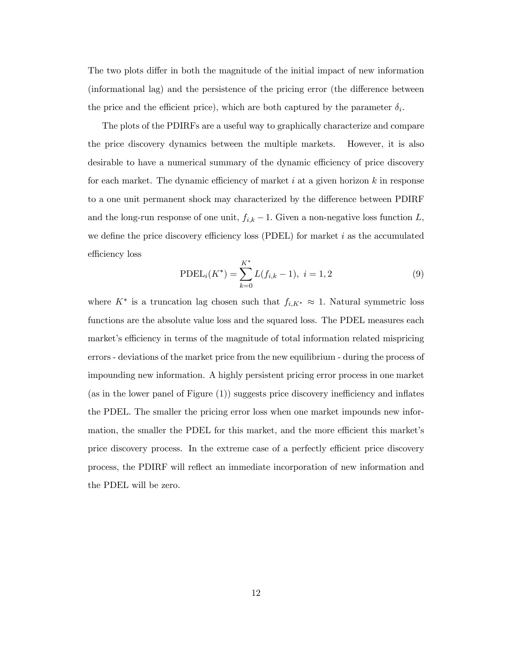The two plots differ in both the magnitude of the initial impact of new information (informational lag) and the persistence of the pricing error (the difference between the price and the efficient price), which are both captured by the parameter  $\delta_i$ .

The plots of the PDIRFs are a useful way to graphically characterize and compare the price discovery dynamics between the multiple markets. However, it is also desirable to have a numerical summary of the dynamic efficiency of price discovery for each market. The dynamic efficiency of market  $i$  at a given horizon  $k$  in response to a one unit permanent shock may characterized by the difference between PDIRF and the long-run response of one unit,  $f_{i,k} - 1$ . Given a non-negative loss function L, we define the price discovery efficiency loss (PDEL) for market  $i$  as the accumulated efficiency loss

$$
\text{PDEL}_i(K^*) = \sum_{k=0}^{K^*} L(f_{i,k} - 1), \ i = 1, 2 \tag{9}
$$

where  $K^*$  is a truncation lag chosen such that  $f_{i,K^*} \approx 1$ . Natural symmetric loss functions are the absolute value loss and the squared loss. The PDEL measures each market's efficiency in terms of the magnitude of total information related mispricing errors - deviations of the market price from the new equilibrium - during the process of impounding new information. A highly persistent pricing error process in one market (as in the lower panel of Figure (1)) suggests price discovery inefficiency and inflates the PDEL. The smaller the pricing error loss when one market impounds new information, the smaller the PDEL for this market, and the more efficient this market's price discovery process. In the extreme case of a perfectly efficient price discovery process, the PDIRF will reflect an immediate incorporation of new information and the PDEL will be zero.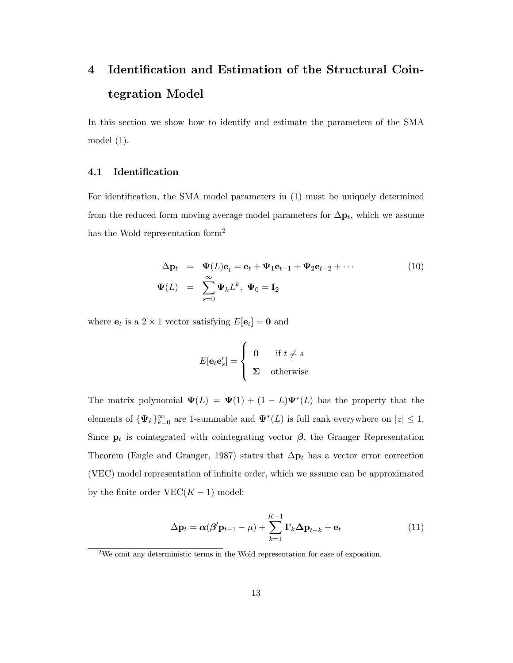# 4 Identification and Estimation of the Structural Cointegration Model

In this section we show how to identify and estimate the parameters of the SMA model (1).

#### 4.1 Identification

For identification, the SMA model parameters in (1) must be uniquely determined from the reduced form moving average model parameters for  $\Delta p_t$ , which we assume has the Wold representation form<sup>2</sup>

$$
\Delta \mathbf{p}_t = \mathbf{\Psi}(L)\mathbf{e}_t = \mathbf{e}_t + \mathbf{\Psi}_1 \mathbf{e}_{t-1} + \mathbf{\Psi}_2 \mathbf{e}_{t-2} + \cdots
$$
  

$$
\mathbf{\Psi}(L) = \sum_{s=0}^{\infty} \mathbf{\Psi}_k L^k, \mathbf{\Psi}_0 = \mathbf{I}_2
$$
 (10)

where  $\mathbf{e}_t$  is a 2 × 1 vector satisfying  $E[\mathbf{e}_t] = \mathbf{0}$  and

$$
E[\mathbf{e}_t \mathbf{e}'_s] = \begin{cases} \n0 & \text{if } t \neq s \\ \n\Sigma & \text{otherwise} \n\end{cases}
$$

The matrix polynomial  $\Psi(L) = \Psi(1) + (1 - L)\Psi^*(L)$  has the property that the elements of  ${\lbrace \Psi_k \rbrace}_{k=0}^{\infty}$  are 1-summable and  ${\Psi^*(L)}$  is full rank everywhere on  $|z| \leq 1$ . Since  $\mathbf{p}_t$  is cointegrated with cointegrating vector  $\beta$ , the Granger Representation Theorem (Engle and Granger, 1987) states that  $\Delta p_t$  has a vector error correction (VEC) model representation of infinite order, which we assume can be approximated by the finite order  $VEC(K - 1)$  model:

$$
\Delta \mathbf{p}_t = \alpha (\beta' \mathbf{p}_{t-1} - \mu) + \sum_{k=1}^{K-1} \mathbf{\Gamma}_k \Delta \mathbf{p}_{t-k} + \mathbf{e}_t
$$
(11)

<sup>2</sup>We omit any deterministic terms in the Wold representation for ease of exposition.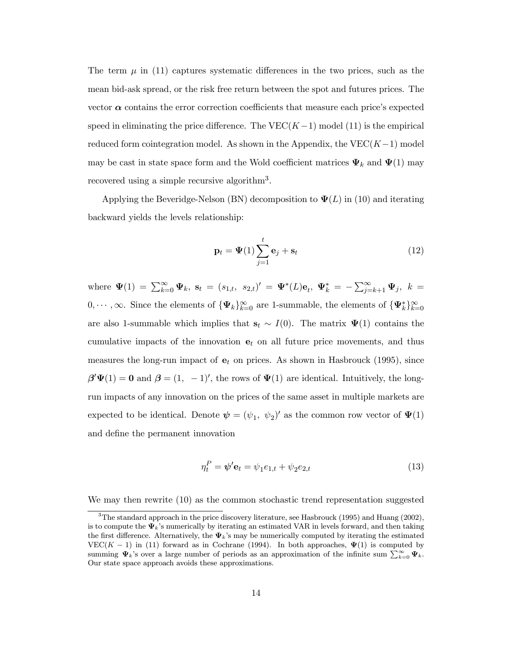The term  $\mu$  in (11) captures systematic differences in the two prices, such as the mean bid-ask spread, or the risk free return between the spot and futures prices. The vector  $\alpha$  contains the error correction coefficients that measure each price's expected speed in eliminating the price difference. The VEC( $K-1$ ) model (11) is the empirical reduced form cointegration model. As shown in the Appendix, the VEC $(K-1)$  model may be cast in state space form and the Wold coefficient matrices  $\Psi_k$  and  $\Psi(1)$  may recovered using a simple recursive algorithm3.

Applying the Beveridge-Nelson (BN) decomposition to  $\Psi(L)$  in (10) and iterating backward yields the levels relationship:

$$
\mathbf{p}_t = \mathbf{\Psi}(1) \sum_{j=1}^t \mathbf{e}_j + \mathbf{s}_t \tag{12}
$$

where  $\Psi(1) = \sum_{k=0}^{\infty} \Psi_k$ ,  $\mathbf{s}_t = (s_{1,t}, s_{2,t})' = \Psi^*(L)\mathbf{e}_t$ ,  $\Psi_k^* = -\sum_{j=k+1}^{\infty} \Psi_j$ ,  $k =$  $0, \dots, \infty$ . Since the elements of  ${\{\Psi_k\}}_{k=0}^{\infty}$  are 1-summable, the elements of  ${\{\Psi_k^*\}}_{k=0}^{\infty}$ are also 1-summable which implies that  $s_t \sim I(0)$ . The matrix  $\Psi(1)$  contains the cumulative impacts of the innovation  $e_t$  on all future price movements, and thus measures the long-run impact of  $e_t$  on prices. As shown in Hasbrouck (1995), since  $\mathbf{\beta}'\mathbf{\Psi}(1) = \mathbf{0}$  and  $\mathbf{\beta} = (1, -1)'$ , the rows of  $\mathbf{\Psi}(1)$  are identical. Intuitively, the longrun impacts of any innovation on the prices of the same asset in multiple markets are expected to be identical. Denote  $\psi = (\psi_1, \psi_2)'$  as the common row vector of  $\Psi(1)$ and define the permanent innovation

$$
\eta_t^P = \psi' \mathbf{e}_t = \psi_1 e_{1,t} + \psi_2 e_{2,t} \tag{13}
$$

We may then rewrite (10) as the common stochastic trend representation suggested

 $3$ The standard approach in the price discovery literature, see Hasbrouck (1995) and Huang (2002), is to compute the  $\Psi_k$ 's numerically by iterating an estimated VAR in levels forward, and then taking the first difference. Alternatively, the  $\Psi_k$ 's may be numerically computed by iterating the estimated VEC(K – 1) in (11) forward as in Cochrane (1994). In both approaches,  $\Psi(1)$  is computed by summing  $\Psi_k$ 's over a large number of periods as an approximation of the infinite sum  $\sum_{k=0}^{\infty} \Psi_k$ . Our state space approach avoids these approximations.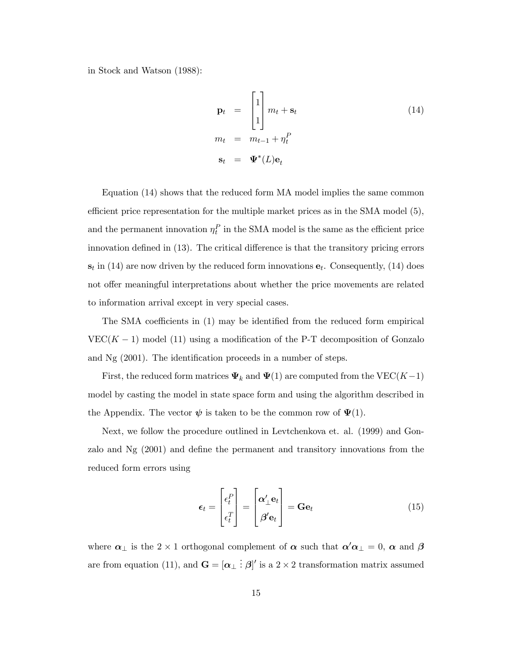in Stock and Watson (1988):

$$
\mathbf{p}_t = \begin{bmatrix} 1 \\ 1 \end{bmatrix} m_t + \mathbf{s}_t
$$
  
\n
$$
m_t = m_{t-1} + \eta_t^P
$$
  
\n
$$
\mathbf{s}_t = \mathbf{\Psi}^*(L)\mathbf{e}_t
$$
\n(14)

Equation (14) shows that the reduced form MA model implies the same common efficient price representation for the multiple market prices as in the SMA model (5), and the permanent innovation  $\eta_t^P$  in the SMA model is the same as the efficient price innovation defined in (13). The critical difference is that the transitory pricing errors  $s_t$  in (14) are now driven by the reduced form innovations  $e_t$ . Consequently, (14) does not offer meaningful interpretations about whether the price movements are related to information arrival except in very special cases.

The SMA coefficients in (1) may be identified from the reduced form empirical  $VEC(K-1)$  model (11) using a modification of the P-T decomposition of Gonzalo and Ng (2001). The identification proceeds in a number of steps.

First, the reduced form matrices  $\Psi_k$  and  $\Psi(1)$  are computed from the VEC(K-1) model by casting the model in state space form and using the algorithm described in the Appendix. The vector  $\psi$  is taken to be the common row of  $\Psi(1)$ .

Next, we follow the procedure outlined in Levtchenkova et. al. (1999) and Gonzalo and Ng (2001) and define the permanent and transitory innovations from the reduced form errors using

$$
\boldsymbol{\epsilon}_t = \begin{bmatrix} \epsilon_t^P \\ \epsilon_t^T \end{bmatrix} = \begin{bmatrix} \boldsymbol{\alpha}'_{\perp} \mathbf{e}_t \\ \boldsymbol{\beta}' \mathbf{e}_t \end{bmatrix} = \mathbf{G} \mathbf{e}_t \qquad (15)
$$

where  $\alpha_{\perp}$  is the 2 × 1 orthogonal complement of  $\alpha$  such that  $\alpha' \alpha_{\perp} = 0$ ,  $\alpha$  and  $\beta$ are from equation (11), and  $\mathbf{G} = [\boldsymbol{\alpha}_{\perp} : \boldsymbol{\beta}]'$  is a 2 × 2 transformation matrix assumed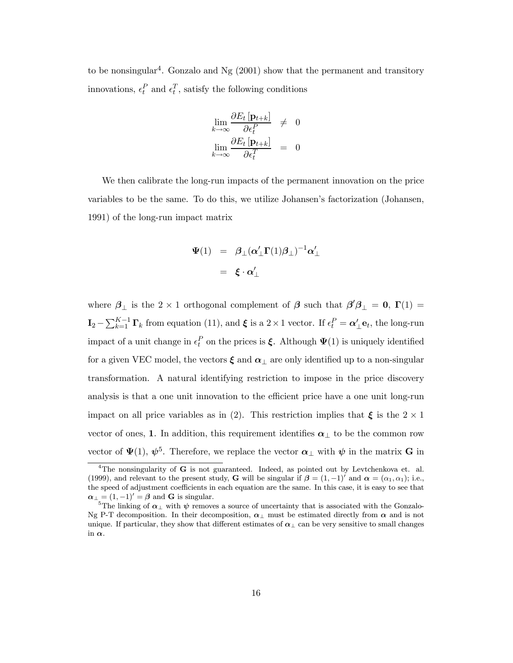to be nonsingular<sup>4</sup>. Gonzalo and Ng  $(2001)$  show that the permanent and transitory innovations,  $\epsilon_t^P$  and  $\epsilon_t^T$ , satisfy the following conditions

$$
\lim_{k \to \infty} \frac{\partial E_t \left[ \mathbf{p}_{t+k} \right]}{\partial \epsilon_t^P} \neq 0
$$
\n
$$
\lim_{k \to \infty} \frac{\partial E_t \left[ \mathbf{p}_{t+k} \right]}{\partial \epsilon_t^T} = 0
$$

We then calibrate the long-run impacts of the permanent innovation on the price variables to be the same. To do this, we utilize Johansen's factorization (Johansen, 1991) of the long-run impact matrix

$$
\Psi(1) = \beta_{\perp} (\alpha'_{\perp} \Gamma(1) \beta_{\perp})^{-1} \alpha'_{\perp}
$$

$$
= \xi \cdot \alpha'_{\perp}
$$

where  $\beta_{\perp}$  is the 2 × 1 orthogonal complement of  $\beta$  such that  $\beta'\beta_{\perp} = 0$ ,  $\Gamma(1) =$  $\mathbf{I}_2 - \sum_{k=1}^{K-1} \mathbf{\Gamma}_k$  from equation (11), and  $\xi$  is a 2 × 1 vector. If  $\epsilon_t^P = \alpha'_\perp \mathbf{e}_t$ , the long-run impact of a unit change in  $\epsilon_t^P$  on the prices is  $\xi$ . Although  $\Psi(1)$  is uniquely identified for a given VEC model, the vectors  $\xi$  and  $\alpha_{\perp}$  are only identified up to a non-singular transformation. A natural identifying restriction to impose in the price discovery analysis is that a one unit innovation to the efficient price have a one unit long-run impact on all price variables as in (2). This restriction implies that  $\xi$  is the  $2 \times 1$ vector of ones, 1. In addition, this requirement identifies  $\alpha_{\perp}$  to be the common row vector of  $\Psi(1)$ ,  $\psi^5$ . Therefore, we replace the vector  $\alpha_{\perp}$  with  $\psi$  in the matrix G in

<sup>&</sup>lt;sup>4</sup>The nonsingularity of  $G$  is not guaranteed. Indeed, as pointed out by Levtchenkova et. al. (1999), and relevant to the present study, G will be singular if  $\beta = (1, -1)'$  and  $\alpha = (\alpha_1, \alpha_1)$ ; i.e., the speed of adjustment coefficients in each equation are the same. In this case, it is easy to see that  $\alpha_{\perp} = (1, -1)' = \beta$  and G is singular.<br><sup>5</sup>The linking of  $\alpha_{\perp}$  with  $\psi$  removes a source of uncertainty that is associated with the Gonzalo-

Ng P-T decomposition. In their decomposition,  $\alpha_{\perp}$  must be estimated directly from  $\alpha$  and is not unique. If particular, they show that different estimates of  $\alpha_{\perp}$  can be very sensitive to small changes in  $\alpha.$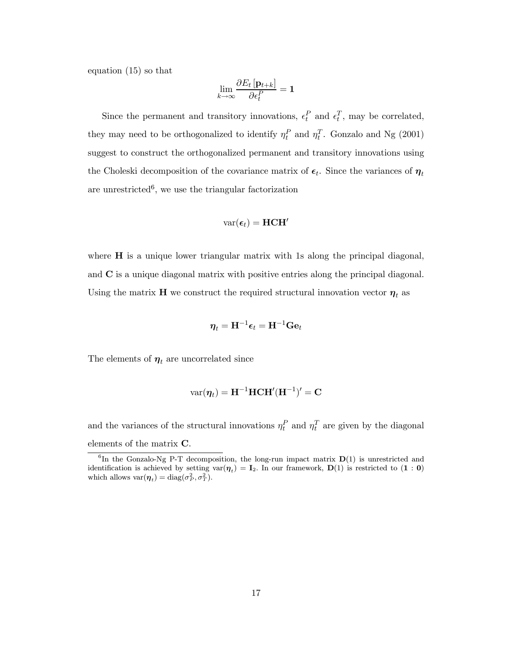equation (15) so that

$$
\lim_{k\to\infty}\frac{\partial E_t\left[\mathbf{p}_{t+k}\right]}{\partial \epsilon_t^P}=\mathbf{1}
$$

Since the permanent and transitory innovations,  $\epsilon_t^P$  and  $\epsilon_t^T$ , may be correlated, they may need to be orthogonalized to identify  $\eta_t^P$  and  $\eta_t^T$ . Gonzalo and Ng (2001) suggest to construct the orthogonalized permanent and transitory innovations using the Choleski decomposition of the covariance matrix of  $\epsilon_t$ . Since the variances of  $\eta_t$ are unrestricted<sup>6</sup>, we use the triangular factorization

$$
\text{var}(\boldsymbol{\epsilon}_t) = \mathbf{H}\mathbf{C}\mathbf{H}'
$$

where **H** is a unique lower triangular matrix with 1s along the principal diagonal, and C is a unique diagonal matrix with positive entries along the principal diagonal. Using the matrix **H** we construct the required structural innovation vector  $\eta_t$  as

$$
\boldsymbol{\eta}_t = \mathbf{H}^{-1}\boldsymbol{\epsilon}_t = \mathbf{H}^{-1}\mathbf{G}\mathbf{e}_t
$$

The elements of  $\eta_t$  are uncorrelated since

$$
\text{var}(\boldsymbol{\eta}_t) = \mathbf{H}^{-1} \mathbf{H} \mathbf{C} \mathbf{H}' (\mathbf{H}^{-1})' = \mathbf{C}
$$

and the variances of the structural innovations  $\eta_t^P$  and  $\eta_t^T$  are given by the diagonal elements of the matrix C.

 ${}^{6}$ In the Gonzalo-Ng P-T decomposition, the long-run impact matrix  $D(1)$  is unrestricted and identification is achieved by setting  $var(\eta_t) = I_2$ . In our framework,  $D(1)$  is restricted to  $(1: 0)$ which allows  $var(\boldsymbol{\eta}_t) = diag(\sigma_P^2, \sigma_T^2)$ .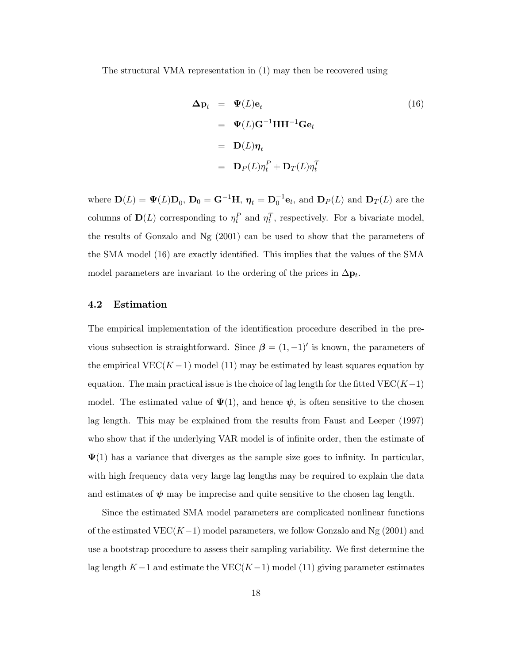The structural VMA representation in (1) may then be recovered using

$$
\Delta \mathbf{p}_t = \Psi(L)\mathbf{e}_t
$$
\n
$$
= \Psi(L)\mathbf{G}^{-1}\mathbf{H}\mathbf{H}^{-1}\mathbf{G}\mathbf{e}_t
$$
\n
$$
= \mathbf{D}(L)\boldsymbol{\eta}_t
$$
\n
$$
= \mathbf{D}_P(L)\boldsymbol{\eta}_t^P + \mathbf{D}_T(L)\boldsymbol{\eta}_t^T
$$
\n(16)

where  $\mathbf{D}(L) = \mathbf{\Psi}(L)\mathbf{D}_0$ ,  $\mathbf{D}_0 = \mathbf{G}^{-1}\mathbf{H}$ ,  $\boldsymbol{\eta}_t = \mathbf{D}_0^{-1}\mathbf{e}_t$ , and  $\mathbf{D}_P(L)$  and  $\mathbf{D}_T(L)$  are the columns of  $\mathbf{D}(L)$  corresponding to  $\eta_t^P$  and  $\eta_t^T$ , respectively. For a bivariate model, the results of Gonzalo and Ng (2001) can be used to show that the parameters of the SMA model (16) are exactly identified. This implies that the values of the SMA model parameters are invariant to the ordering of the prices in  $\Delta p_t$ .

#### 4.2 Estimation

The empirical implementation of the identification procedure described in the previous subsection is straightforward. Since  $\beta = (1, -1)'$  is known, the parameters of the empirical VEC( $K-1$ ) model (11) may be estimated by least squares equation by equation. The main practical issue is the choice of lag length for the fitted  $VEC(K-1)$ model. The estimated value of  $\Psi(1)$ , and hence  $\psi$ , is often sensitive to the chosen lag length. This may be explained from the results from Faust and Leeper (1997) who show that if the underlying VAR model is of infinite order, then the estimate of  $\Psi(1)$  has a variance that diverges as the sample size goes to infinity. In particular, with high frequency data very large lag lengths may be required to explain the data and estimates of  $\psi$  may be imprecise and quite sensitive to the chosen lag length.

Since the estimated SMA model parameters are complicated nonlinear functions of the estimated VEC( $K-1$ ) model parameters, we follow Gonzalo and Ng (2001) and use a bootstrap procedure to assess their sampling variability. We first determine the lag length  $K-1$  and estimate the VEC( $K-1$ ) model (11) giving parameter estimates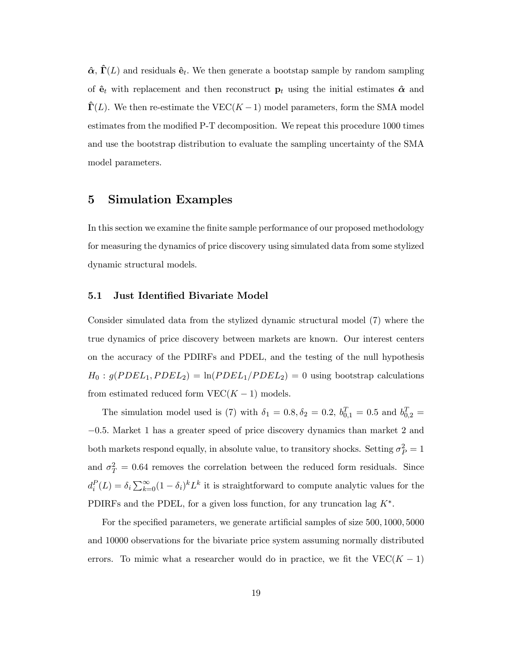$\hat{\boldsymbol{\alpha}}$ ,  $\boldsymbol{\Gamma}(L)$  and residuals  $\hat{\boldsymbol{\epsilon}}_t$ . We then generate a bootstap sample by random sampling of  $\hat{\mathbf{e}}_t$  with replacement and then reconstruct  $\mathbf{p}_t$  using the initial estimates  $\hat{\boldsymbol{\alpha}}$  and  $\Gamma(L)$ . We then re-estimate the VEC(K – 1) model parameters, form the SMA model estimates from the modified P-T decomposition. We repeat this procedure 1000 times and use the bootstrap distribution to evaluate the sampling uncertainty of the SMA model parameters.

## 5 Simulation Examples

In this section we examine the finite sample performance of our proposed methodology for measuring the dynamics of price discovery using simulated data from some stylized dynamic structural models.

#### 5.1 Just Identified Bivariate Model

Consider simulated data from the stylized dynamic structural model (7) where the true dynamics of price discovery between markets are known. Our interest centers on the accuracy of the PDIRFs and PDEL, and the testing of the null hypothesis  $H_0$ :  $g(PDEL_1, PDEL_2) = \ln(PDEL_1/PDEL_2) = 0$  using bootstrap calculations from estimated reduced form  $VEC(K - 1)$  models.

The simulation model used is (7) with  $\delta_1 = 0.8, \delta_2 = 0.2, b_{0,1}^T = 0.5$  and  $b_{0,2}^T =$ −0.5. Market 1 has a greater speed of price discovery dynamics than market 2 and both markets respond equally, in absolute value, to transitory shocks. Setting  $\sigma_P^2 = 1$ and  $\sigma_T^2 = 0.64$  removes the correlation between the reduced form residuals. Since  $d_i^P(L) = \delta_i \sum_{k=0}^{\infty} (1 - \delta_i)^k L^k$  it is straightforward to compute analytic values for the PDIRFs and the PDEL, for a given loss function, for any truncation lag  $K^*$ .

For the specified parameters, we generate artificial samples of size 500, 1000, 5000 and 10000 observations for the bivariate price system assuming normally distributed errors. To mimic what a researcher would do in practice, we fit the  $VEC(K - 1)$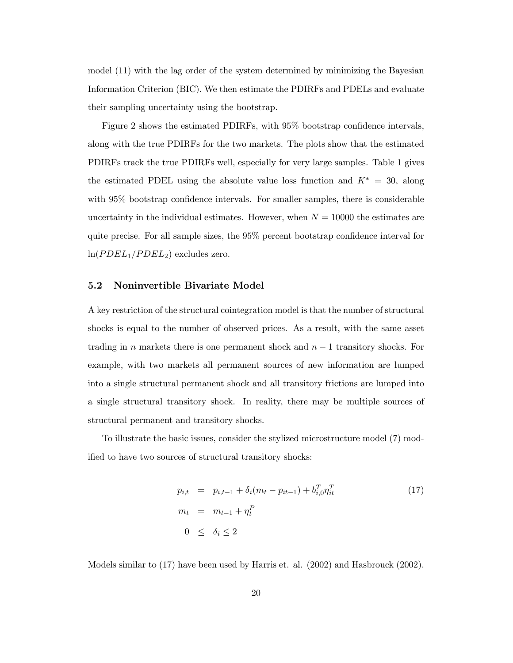model (11) with the lag order of the system determined by minimizing the Bayesian Information Criterion (BIC). We then estimate the PDIRFs and PDELs and evaluate their sampling uncertainty using the bootstrap.

Figure 2 shows the estimated PDIRFs, with 95% bootstrap confidence intervals, along with the true PDIRFs for the two markets. The plots show that the estimated PDIRFs track the true PDIRFs well, especially for very large samples. Table 1 gives the estimated PDEL using the absolute value loss function and  $K^* = 30$ , along with 95% bootstrap confidence intervals. For smaller samples, there is considerable uncertainty in the individual estimates. However, when  $N = 10000$  the estimates are quite precise. For all sample sizes, the 95% percent bootstrap confidence interval for  $ln(PDEL_1/PDEL_2)$  excludes zero.

#### 5.2 Noninvertible Bivariate Model

A key restriction of the structural cointegration model is that the number of structural shocks is equal to the number of observed prices. As a result, with the same asset trading in n markets there is one permanent shock and  $n-1$  transitory shocks. For example, with two markets all permanent sources of new information are lumped into a single structural permanent shock and all transitory frictions are lumped into a single structural transitory shock. In reality, there may be multiple sources of structural permanent and transitory shocks.

To illustrate the basic issues, consider the stylized microstructure model (7) modified to have two sources of structural transitory shocks:

$$
p_{i,t} = p_{i,t-1} + \delta_i (m_t - p_{it-1}) + b_{i,0}^T \eta_{it}^T
$$
  
\n
$$
m_t = m_{t-1} + \eta_t^P
$$
  
\n
$$
0 \le \delta_i \le 2
$$
\n(17)

Models similar to (17) have been used by Harris et. al. (2002) and Hasbrouck (2002).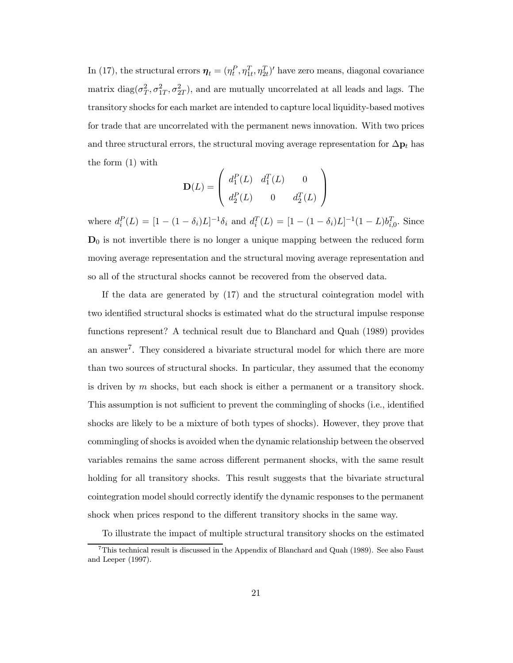In (17), the structural errors  $\boldsymbol{\eta}_t = (\eta_t^P, \eta_{1t}^T, \eta_{2t}^T)'$  have zero means, diagonal covariance matrix  $\text{diag}(\sigma_T^2, \sigma_{1T}^2, \sigma_{2T}^2)$ , and are mutually uncorrelated at all leads and lags. The transitory shocks for each market are intended to capture local liquidity-based motives for trade that are uncorrelated with the permanent news innovation. With two prices and three structural errors, the structural moving average representation for  $\Delta p_t$  has the form (1) with

$$
\mathbf{D}(L) = \begin{pmatrix} d_1^P(L) & d_1^T(L) & 0 \\ d_2^P(L) & 0 & d_2^T(L) \end{pmatrix}
$$

where  $d_i^P(L) = [1 - (1 - \delta_i)L]^{-1}\delta_i$  and  $d_i^T(L) = [1 - (1 - \delta_i)L]^{-1}(1 - L)b_{i,0}^T$ . Since  $D_0$  is not invertible there is no longer a unique mapping between the reduced form moving average representation and the structural moving average representation and so all of the structural shocks cannot be recovered from the observed data.

If the data are generated by (17) and the structural cointegration model with two identified structural shocks is estimated what do the structural impulse response functions represent? A technical result due to Blanchard and Quah (1989) provides an answer7. They considered a bivariate structural model for which there are more than two sources of structural shocks. In particular, they assumed that the economy is driven by  $m$  shocks, but each shock is either a permanent or a transitory shock. This assumption is not sufficient to prevent the commingling of shocks (i.e., identified shocks are likely to be a mixture of both types of shocks). However, they prove that commingling of shocks is avoided when the dynamic relationship between the observed variables remains the same across different permanent shocks, with the same result holding for all transitory shocks. This result suggests that the bivariate structural cointegration model should correctly identify the dynamic responses to the permanent shock when prices respond to the different transitory shocks in the same way.

To illustrate the impact of multiple structural transitory shocks on the estimated

<sup>7</sup>This technical result is discussed in the Appendix of Blanchard and Quah (1989). See also Faust and Leeper (1997).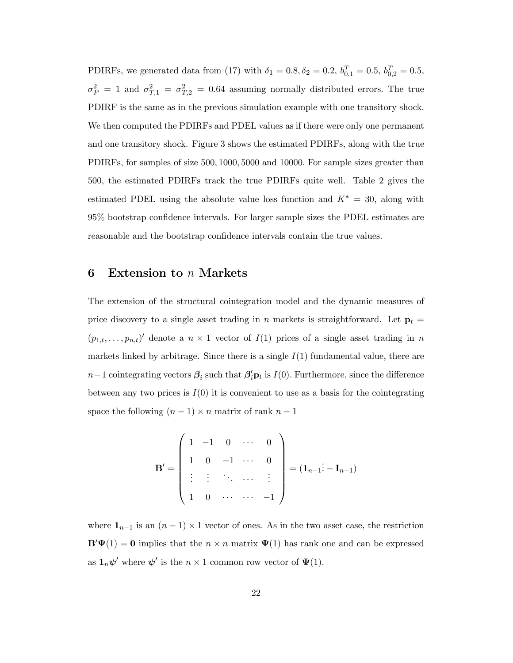PDIRFs, we generated data from (17) with  $\delta_1 = 0.8, \delta_2 = 0.2, b_{0,1}^T = 0.5, b_{0,2}^T = 0.5$ ,  $\sigma_P^2 = 1$  and  $\sigma_{T,1}^2 = \sigma_{T,2}^2 = 0.64$  assuming normally distributed errors. The true PDIRF is the same as in the previous simulation example with one transitory shock. We then computed the PDIRFs and PDEL values as if there were only one permanent and one transitory shock. Figure 3 shows the estimated PDIRFs, along with the true PDIRFs, for samples of size 500, 1000, 5000 and 10000. For sample sizes greater than 500, the estimated PDIRFs track the true PDIRFs quite well. Table 2 gives the estimated PDEL using the absolute value loss function and  $K^* = 30$ , along with 95% bootstrap confidence intervals. For larger sample sizes the PDEL estimates are reasonable and the bootstrap confidence intervals contain the true values.

## 6 Extension to  $n$  Markets

The extension of the structural cointegration model and the dynamic measures of price discovery to a single asset trading in n markets is straightforward. Let  $\mathbf{p}_t =$  $(p_{1,t},\ldots,p_{n,t})'$  denote a  $n \times 1$  vector of  $I(1)$  prices of a single asset trading in n markets linked by arbitrage. Since there is a single  $I(1)$  fundamental value, there are  $n-1$  cointegrating vectors  $\beta_i$  such that  $\beta_i'$ **p**<sub>t</sub> is  $I(0)$ . Furthermore, since the difference between any two prices is  $I(0)$  it is convenient to use as a basis for the cointegrating space the following  $(n-1) \times n$  matrix of rank  $n-1$ 

$$
\mathbf{B}' = \begin{pmatrix} 1 & -1 & 0 & \cdots & 0 \\ 1 & 0 & -1 & \cdots & 0 \\ \vdots & \vdots & \ddots & \cdots & \vdots \\ 1 & 0 & \cdots & \cdots & -1 \end{pmatrix} = (\mathbf{1}_{n-1}; -\mathbf{I}_{n-1})
$$

where  $\mathbf{1}_{n-1}$  is an  $(n-1) \times 1$  vector of ones. As in the two asset case, the restriction  $\mathbf{B}'\mathbf{\Psi}(1) = \mathbf{0}$  implies that the  $n \times n$  matrix  $\mathbf{\Psi}(1)$  has rank one and can be expressed as  $1_n\psi'$  where  $\psi'$  is the  $n \times 1$  common row vector of  $\Psi(1)$ .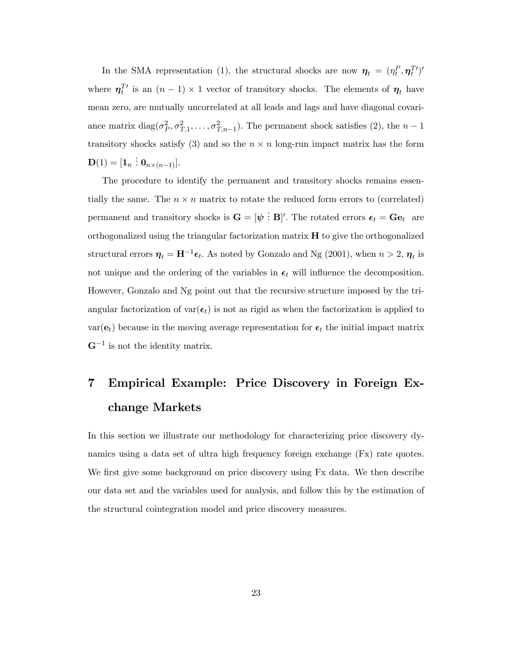In the SMA representation (1), the structural shocks are now  $\eta_t = (\eta_t^P, \eta_t^T)'$ where  $\eta_t^{T'}$  is an  $(n-1) \times 1$  vector of transitory shocks. The elements of  $\eta_t$  have mean zero, are mutually uncorrelated at all leads and lags and have diagonal covariance matrix  $diag(\sigma_p^2, \sigma_{T,1}^2, \ldots, \sigma_{T,n-1}^2)$ . The permanent shock satisfies (2), the  $n-1$ transitory shocks satisfy (3) and so the  $n \times n$  long-run impact matrix has the form  $D(1) = [1_n : 0_{n \times (n-1)}].$ 

The procedure to identify the permanent and transitory shocks remains essentially the same. The  $n \times n$  matrix to rotate the reduced form errors to (correlated) permanent and transitory shocks is  $\mathbf{G} = [\psi : \mathbf{B}]'$ . The rotated errors  $\boldsymbol{\epsilon}_t = \mathbf{G}\mathbf{e}_t$  are orthogonalized using the triangular factorization matrix  $\bf{H}$  to give the orthogonalized structural errors  $\eta_t = H^{-1} \epsilon_t$ . As noted by Gonzalo and Ng (2001), when  $n > 2$ ,  $\eta_t$  is not unique and the ordering of the variables in  $\epsilon_t$  will influence the decomposition. However, Gonzalo and Ng point out that the recursive structure imposed by the triangular factorization of var $(\epsilon_t)$  is not as rigid as when the factorization is applied to  $var(\mathbf{e}_t)$  because in the moving average representation for  $\epsilon_t$  the initial impact matrix  $G^{-1}$  is not the identity matrix.

## 7 Empirical Example: Price Discovery in Foreign Exchange Markets

In this section we illustrate our methodology for characterizing price discovery dynamics using a data set of ultra high frequency foreign exchange (Fx) rate quotes. We first give some background on price discovery using Fx data. We then describe our data set and the variables used for analysis, and follow this by the estimation of the structural cointegration model and price discovery measures.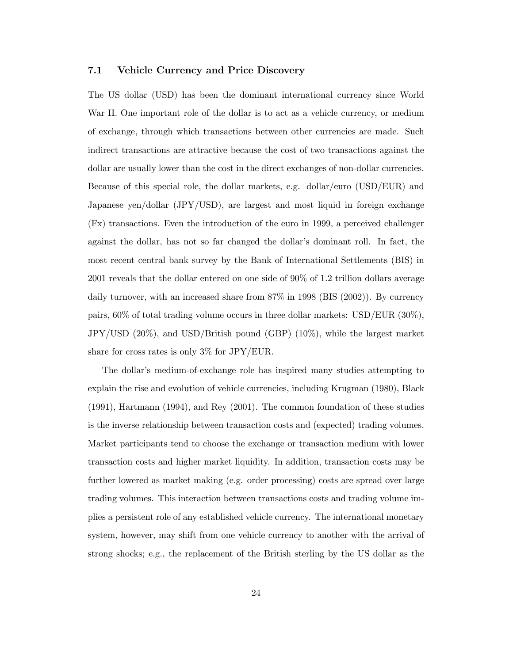#### 7.1 Vehicle Currency and Price Discovery

The US dollar (USD) has been the dominant international currency since World War II. One important role of the dollar is to act as a vehicle currency, or medium of exchange, through which transactions between other currencies are made. Such indirect transactions are attractive because the cost of two transactions against the dollar are usually lower than the cost in the direct exchanges of non-dollar currencies. Because of this special role, the dollar markets, e.g. dollar/euro (USD/EUR) and Japanese yen/dollar (JPY/USD), are largest and most liquid in foreign exchange (Fx) transactions. Even the introduction of the euro in 1999, a perceived challenger against the dollar, has not so far changed the dollar's dominant roll. In fact, the most recent central bank survey by the Bank of International Settlements (BIS) in 2001 reveals that the dollar entered on one side of 90% of 1.2 trillion dollars average daily turnover, with an increased share from 87% in 1998 (BIS (2002)). By currency pairs, 60% of total trading volume occurs in three dollar markets: USD/EUR (30%),  $JPY/USD$  (20%), and  $USD/British$  pound (GBP) (10%), while the largest market share for cross rates is only 3% for JPY/EUR.

The dollar's medium-of-exchange role has inspired many studies attempting to explain the rise and evolution of vehicle currencies, including Krugman (1980), Black (1991), Hartmann (1994), and Rey (2001). The common foundation of these studies is the inverse relationship between transaction costs and (expected) trading volumes. Market participants tend to choose the exchange or transaction medium with lower transaction costs and higher market liquidity. In addition, transaction costs may be further lowered as market making (e.g. order processing) costs are spread over large trading volumes. This interaction between transactions costs and trading volume implies a persistent role of any established vehicle currency. The international monetary system, however, may shift from one vehicle currency to another with the arrival of strong shocks; e.g., the replacement of the British sterling by the US dollar as the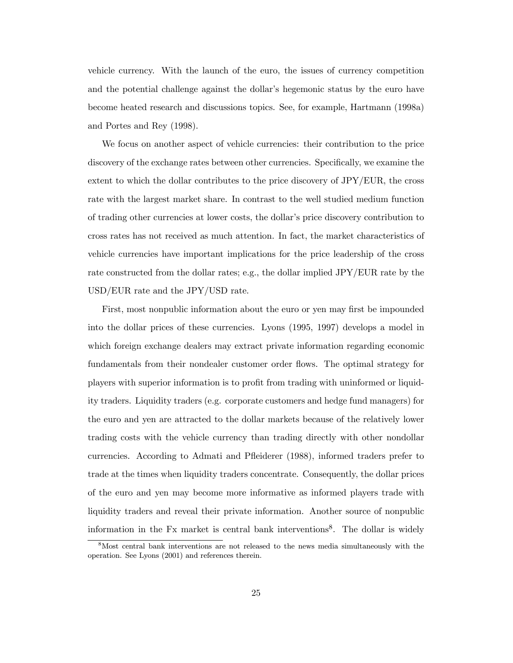vehicle currency. With the launch of the euro, the issues of currency competition and the potential challenge against the dollar's hegemonic status by the euro have become heated research and discussions topics. See, for example, Hartmann (1998a) and Portes and Rey (1998).

We focus on another aspect of vehicle currencies: their contribution to the price discovery of the exchange rates between other currencies. Specifically, we examine the extent to which the dollar contributes to the price discovery of JPY/EUR, the cross rate with the largest market share. In contrast to the well studied medium function of trading other currencies at lower costs, the dollar's price discovery contribution to cross rates has not received as much attention. In fact, the market characteristics of vehicle currencies have important implications for the price leadership of the cross rate constructed from the dollar rates; e.g., the dollar implied JPY/EUR rate by the USD/EUR rate and the JPY/USD rate.

First, most nonpublic information about the euro or yen may first be impounded into the dollar prices of these currencies. Lyons (1995, 1997) develops a model in which foreign exchange dealers may extract private information regarding economic fundamentals from their nondealer customer order flows. The optimal strategy for players with superior information is to profit from trading with uninformed or liquidity traders. Liquidity traders (e.g. corporate customers and hedge fund managers) for the euro and yen are attracted to the dollar markets because of the relatively lower trading costs with the vehicle currency than trading directly with other nondollar currencies. According to Admati and Pfleiderer (1988), informed traders prefer to trade at the times when liquidity traders concentrate. Consequently, the dollar prices of the euro and yen may become more informative as informed players trade with liquidity traders and reveal their private information. Another source of nonpublic information in the  $Fx$  market is central bank interventions<sup>8</sup>. The dollar is widely

<sup>8</sup>Most central bank interventions are not released to the news media simultaneously with the operation. See Lyons (2001) and references therein.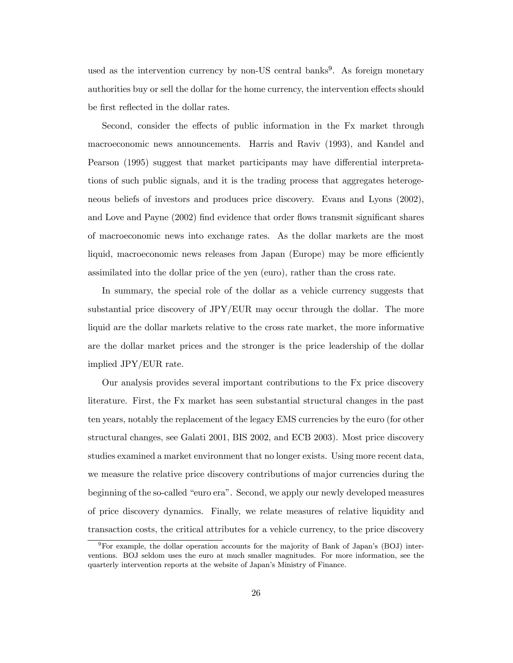used as the intervention currency by non-US central banks<sup>9</sup>. As foreign monetary authorities buy or sell the dollar for the home currency, the intervention effects should be first reflected in the dollar rates.

Second, consider the effects of public information in the Fx market through macroeconomic news announcements. Harris and Raviv (1993), and Kandel and Pearson (1995) suggest that market participants may have differential interpretations of such public signals, and it is the trading process that aggregates heterogeneous beliefs of investors and produces price discovery. Evans and Lyons (2002), and Love and Payne (2002) find evidence that order flows transmit significant shares of macroeconomic news into exchange rates. As the dollar markets are the most liquid, macroeconomic news releases from Japan (Europe) may be more efficiently assimilated into the dollar price of the yen (euro), rather than the cross rate.

In summary, the special role of the dollar as a vehicle currency suggests that substantial price discovery of JPY/EUR may occur through the dollar. The more liquid are the dollar markets relative to the cross rate market, the more informative are the dollar market prices and the stronger is the price leadership of the dollar implied JPY/EUR rate.

Our analysis provides several important contributions to the Fx price discovery literature. First, the Fx market has seen substantial structural changes in the past ten years, notably the replacement of the legacy EMS currencies by the euro (for other structural changes, see Galati 2001, BIS 2002, and ECB 2003). Most price discovery studies examined a market environment that no longer exists. Using more recent data, we measure the relative price discovery contributions of major currencies during the beginning of the so-called "euro era". Second, we apply our newly developed measures of price discovery dynamics. Finally, we relate measures of relative liquidity and transaction costs, the critical attributes for a vehicle currency, to the price discovery

<sup>9</sup>For example, the dollar operation accounts for the majority of Bank of Japan's (BOJ) interventions. BOJ seldom uses the euro at much smaller magnitudes. For more information, see the quarterly intervention reports at the website of Japan's Ministry of Finance.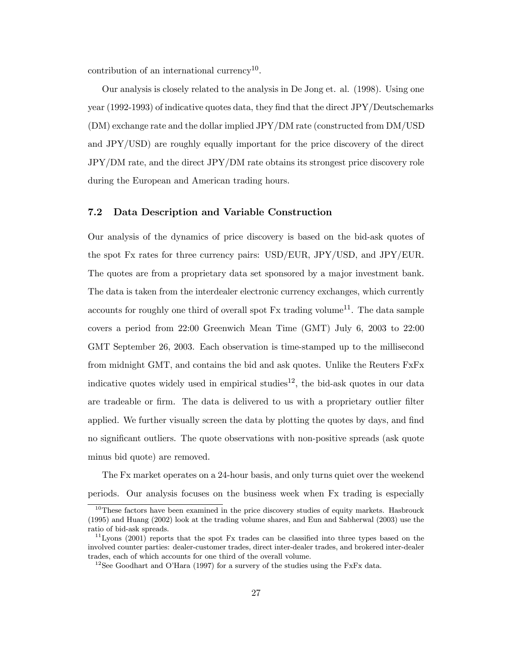contribution of an international currency<sup>10</sup>.

Our analysis is closely related to the analysis in De Jong et. al. (1998). Using one year (1992-1993) of indicative quotes data, they find that the direct JPY/Deutschemarks (DM) exchange rate and the dollar implied JPY/DM rate (constructed from DM/USD and JPY/USD) are roughly equally important for the price discovery of the direct JPY/DM rate, and the direct JPY/DM rate obtains its strongest price discovery role during the European and American trading hours.

#### 7.2 Data Description and Variable Construction

Our analysis of the dynamics of price discovery is based on the bid-ask quotes of the spot Fx rates for three currency pairs: USD/EUR, JPY/USD, and JPY/EUR. The quotes are from a proprietary data set sponsored by a major investment bank. The data is taken from the interdealer electronic currency exchanges, which currently accounts for roughly one third of overall spot  $Fx$  trading volume<sup>11</sup>. The data sample covers a period from 22:00 Greenwich Mean Time (GMT) July 6, 2003 to 22:00 GMT September 26, 2003. Each observation is time-stamped up to the millisecond from midnight GMT, and contains the bid and ask quotes. Unlike the Reuters FxFx indicative quotes widely used in empirical studies<sup>12</sup>, the bid-ask quotes in our data are tradeable or firm. The data is delivered to us with a proprietary outlier filter applied. We further visually screen the data by plotting the quotes by days, and find no significant outliers. The quote observations with non-positive spreads (ask quote minus bid quote) are removed.

The Fx market operates on a 24-hour basis, and only turns quiet over the weekend periods. Our analysis focuses on the business week when Fx trading is especially

 $10$ These factors have been examined in the price discovery studies of equity markets. Hasbrouck (1995) and Huang (2002) look at the trading volume shares, and Eun and Sabherwal (2003) use the ratio of bid-ask spreads.

 $11$ Lyons (2001) reports that the spot Fx trades can be classified into three types based on the involved counter parties: dealer-customer trades, direct inter-dealer trades, and brokered inter-dealer trades, each of which accounts for one third of the overall volume.

 $12$ See Goodhart and O'Hara (1997) for a survery of the studies using the FxFx data.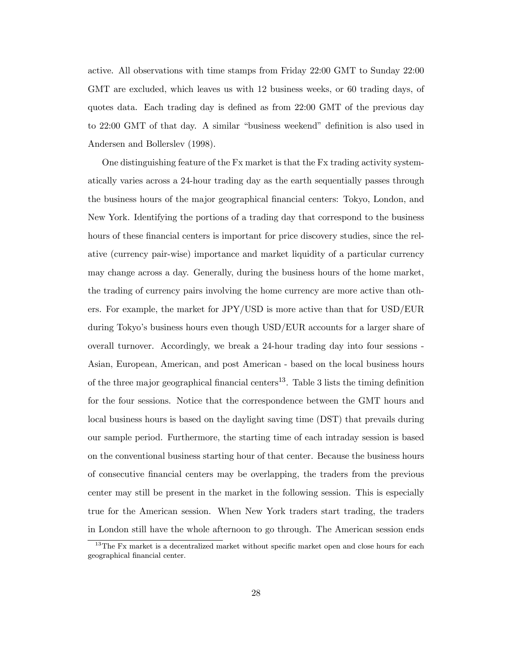active. All observations with time stamps from Friday 22:00 GMT to Sunday 22:00 GMT are excluded, which leaves us with 12 business weeks, or 60 trading days, of quotes data. Each trading day is defined as from 22:00 GMT of the previous day to 22:00 GMT of that day. A similar "business weekend" definition is also used in Andersen and Bollerslev (1998).

One distinguishing feature of the Fx market is that the Fx trading activity systematically varies across a 24-hour trading day as the earth sequentially passes through the business hours of the major geographical financial centers: Tokyo, London, and New York. Identifying the portions of a trading day that correspond to the business hours of these financial centers is important for price discovery studies, since the relative (currency pair-wise) importance and market liquidity of a particular currency may change across a day. Generally, during the business hours of the home market, the trading of currency pairs involving the home currency are more active than others. For example, the market for JPY/USD is more active than that for USD/EUR during Tokyo's business hours even though USD/EUR accounts for a larger share of overall turnover. Accordingly, we break a 24-hour trading day into four sessions - Asian, European, American, and post American - based on the local business hours of the three major geographical financial centers<sup>13</sup>. Table 3 lists the timing definition for the four sessions. Notice that the correspondence between the GMT hours and local business hours is based on the daylight saving time (DST) that prevails during our sample period. Furthermore, the starting time of each intraday session is based on the conventional business starting hour of that center. Because the business hours of consecutive financial centers may be overlapping, the traders from the previous center may still be present in the market in the following session. This is especially true for the American session. When New York traders start trading, the traders in London still have the whole afternoon to go through. The American session ends

 $13$ The Fx market is a decentralized market without specific market open and close hours for each geographical financial center.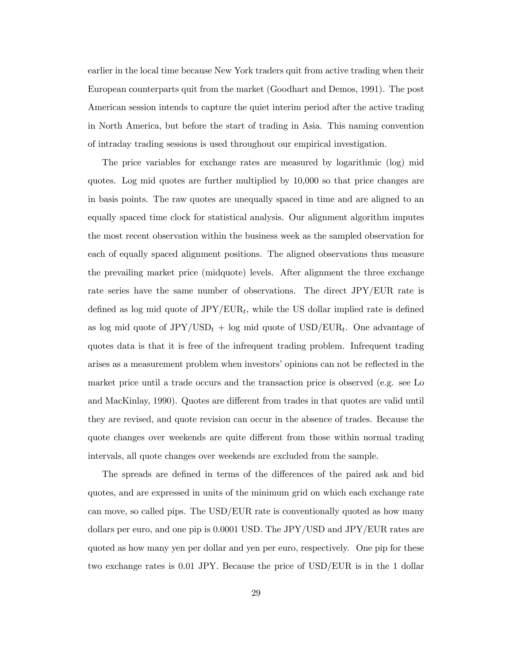earlier in the local time because New York traders quit from active trading when their European counterparts quit from the market (Goodhart and Demos, 1991). The post American session intends to capture the quiet interim period after the active trading in North America, but before the start of trading in Asia. This naming convention of intraday trading sessions is used throughout our empirical investigation.

The price variables for exchange rates are measured by logarithmic (log) mid quotes. Log mid quotes are further multiplied by 10,000 so that price changes are in basis points. The raw quotes are unequally spaced in time and are aligned to an equally spaced time clock for statistical analysis. Our alignment algorithm imputes the most recent observation within the business week as the sampled observation for each of equally spaced alignment positions. The aligned observations thus measure the prevailing market price (midquote) levels. After alignment the three exchange rate series have the same number of observations. The direct JPY/EUR rate is defined as log mid quote of  $JPY/EUR_t$ , while the US dollar implied rate is defined as log mid quote of  $JPY/USD_t$  + log mid quote of  $USD/EUR_t$ . One advantage of quotes data is that it is free of the infrequent trading problem. Infrequent trading arises as a measurement problem when investors' opinions can not be reflected in the market price until a trade occurs and the transaction price is observed (e.g. see Lo and MacKinlay, 1990). Quotes are different from trades in that quotes are valid until they are revised, and quote revision can occur in the absence of trades. Because the quote changes over weekends are quite different from those within normal trading intervals, all quote changes over weekends are excluded from the sample.

The spreads are defined in terms of the differences of the paired ask and bid quotes, and are expressed in units of the minimum grid on which each exchange rate can move, so called pips. The USD/EUR rate is conventionally quoted as how many dollars per euro, and one pip is 0.0001 USD. The JPY/USD and JPY/EUR rates are quoted as how many yen per dollar and yen per euro, respectively. One pip for these two exchange rates is 0.01 JPY. Because the price of USD/EUR is in the 1 dollar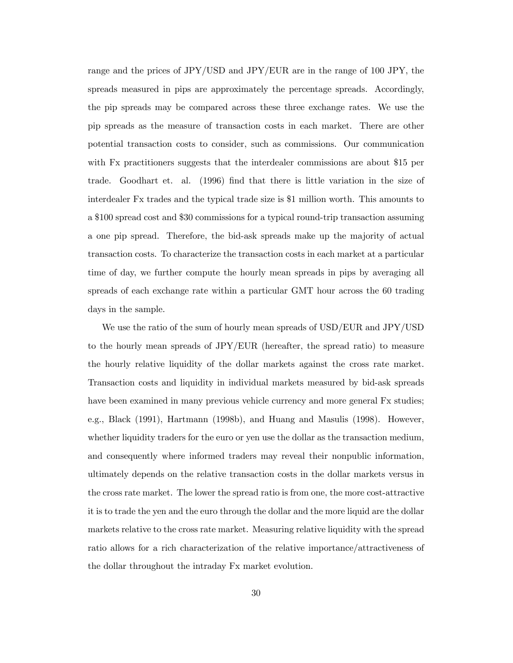range and the prices of JPY/USD and JPY/EUR are in the range of 100 JPY, the spreads measured in pips are approximately the percentage spreads. Accordingly, the pip spreads may be compared across these three exchange rates. We use the pip spreads as the measure of transaction costs in each market. There are other potential transaction costs to consider, such as commissions. Our communication with Fx practitioners suggests that the interdealer commissions are about \$15 per trade. Goodhart et. al. (1996) find that there is little variation in the size of interdealer Fx trades and the typical trade size is \$1 million worth. This amounts to a \$100 spread cost and \$30 commissions for a typical round-trip transaction assuming a one pip spread. Therefore, the bid-ask spreads make up the majority of actual transaction costs. To characterize the transaction costs in each market at a particular time of day, we further compute the hourly mean spreads in pips by averaging all spreads of each exchange rate within a particular GMT hour across the 60 trading days in the sample.

We use the ratio of the sum of hourly mean spreads of  $\mathrm{USD}/\mathrm{EUR}$  and  $\mathrm{JPY}/\mathrm{USD}$ to the hourly mean spreads of JPY/EUR (hereafter, the spread ratio) to measure the hourly relative liquidity of the dollar markets against the cross rate market. Transaction costs and liquidity in individual markets measured by bid-ask spreads have been examined in many previous vehicle currency and more general  $Fx$  studies; e.g., Black (1991), Hartmann (1998b), and Huang and Masulis (1998). However, whether liquidity traders for the euro or yen use the dollar as the transaction medium, and consequently where informed traders may reveal their nonpublic information, ultimately depends on the relative transaction costs in the dollar markets versus in the cross rate market. The lower the spread ratio is from one, the more cost-attractive it is to trade the yen and the euro through the dollar and the more liquid are the dollar markets relative to the cross rate market. Measuring relative liquidity with the spread ratio allows for a rich characterization of the relative importance/attractiveness of the dollar throughout the intraday Fx market evolution.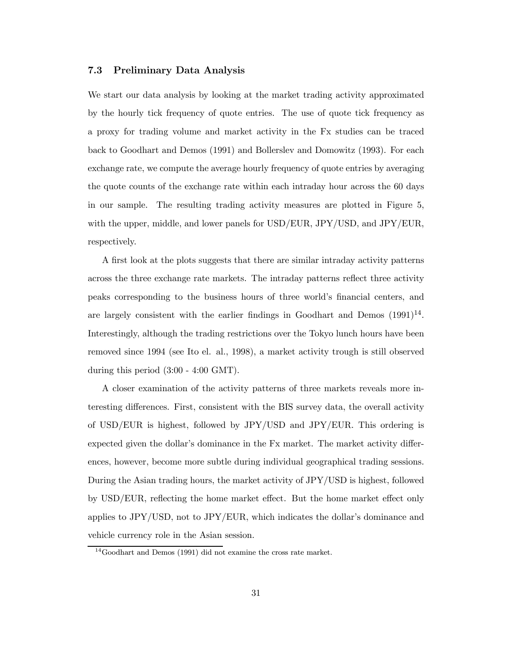#### 7.3 Preliminary Data Analysis

We start our data analysis by looking at the market trading activity approximated by the hourly tick frequency of quote entries. The use of quote tick frequency as a proxy for trading volume and market activity in the Fx studies can be traced back to Goodhart and Demos (1991) and Bollerslev and Domowitz (1993). For each exchange rate, we compute the average hourly frequency of quote entries by averaging the quote counts of the exchange rate within each intraday hour across the 60 days in our sample. The resulting trading activity measures are plotted in Figure 5, with the upper, middle, and lower panels for USD/EUR, JPY/USD, and JPY/EUR, respectively.

A first look at the plots suggests that there are similar intraday activity patterns across the three exchange rate markets. The intraday patterns reflect three activity peaks corresponding to the business hours of three world's financial centers, and are largely consistent with the earlier findings in Goodhart and Demos  $(1991)^{14}$ . Interestingly, although the trading restrictions over the Tokyo lunch hours have been removed since 1994 (see Ito el. al., 1998), a market activity trough is still observed during this period (3:00 - 4:00 GMT).

A closer examination of the activity patterns of three markets reveals more interesting differences. First, consistent with the BIS survey data, the overall activity of USD/EUR is highest, followed by JPY/USD and JPY/EUR. This ordering is expected given the dollar's dominance in the Fx market. The market activity differences, however, become more subtle during individual geographical trading sessions. During the Asian trading hours, the market activity of JPY/USD is highest, followed by USD/EUR, reflecting the home market effect. But the home market effect only applies to JPY/USD, not to JPY/EUR, which indicates the dollar's dominance and vehicle currency role in the Asian session.

 $14$ Goodhart and Demos (1991) did not examine the cross rate market.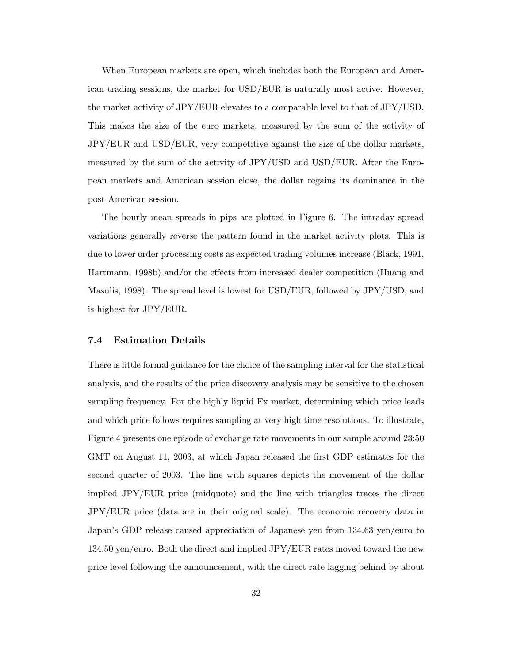When European markets are open, which includes both the European and American trading sessions, the market for USD/EUR is naturally most active. However, the market activity of JPY/EUR elevates to a comparable level to that of JPY/USD. This makes the size of the euro markets, measured by the sum of the activity of JPY/EUR and USD/EUR, very competitive against the size of the dollar markets, measured by the sum of the activity of JPY/USD and USD/EUR. After the European markets and American session close, the dollar regains its dominance in the post American session.

The hourly mean spreads in pips are plotted in Figure 6. The intraday spread variations generally reverse the pattern found in the market activity plots. This is due to lower order processing costs as expected trading volumes increase (Black, 1991, Hartmann, 1998b) and/or the effects from increased dealer competition (Huang and Masulis, 1998). The spread level is lowest for USD/EUR, followed by JPY/USD, and is highest for JPY/EUR.

#### 7.4 Estimation Details

There is little formal guidance for the choice of the sampling interval for the statistical analysis, and the results of the price discovery analysis may be sensitive to the chosen sampling frequency. For the highly liquid Fx market, determining which price leads and which price follows requires sampling at very high time resolutions. To illustrate, Figure 4 presents one episode of exchange rate movements in our sample around 23:50 GMT on August 11, 2003, at which Japan released the first GDP estimates for the second quarter of 2003. The line with squares depicts the movement of the dollar implied JPY/EUR price (midquote) and the line with triangles traces the direct JPY/EUR price (data are in their original scale). The economic recovery data in Japan's GDP release caused appreciation of Japanese yen from 134.63 yen/euro to 134.50 yen/euro. Both the direct and implied JPY/EUR rates moved toward the new price level following the announcement, with the direct rate lagging behind by about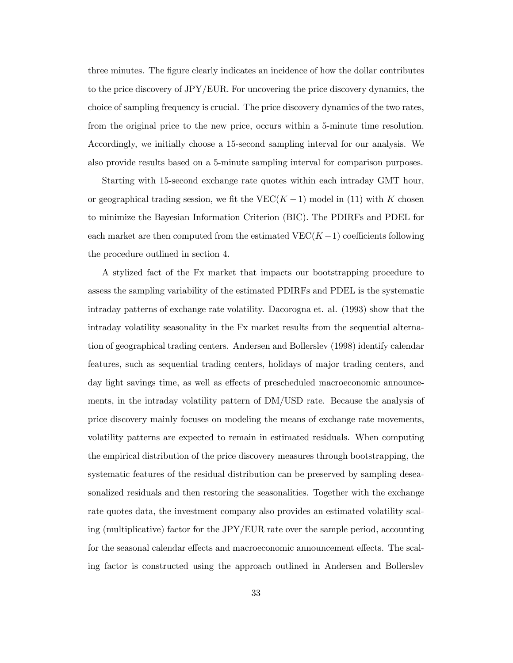three minutes. The figure clearly indicates an incidence of how the dollar contributes to the price discovery of JPY/EUR. For uncovering the price discovery dynamics, the choice of sampling frequency is crucial. The price discovery dynamics of the two rates, from the original price to the new price, occurs within a 5-minute time resolution. Accordingly, we initially choose a 15-second sampling interval for our analysis. We also provide results based on a 5-minute sampling interval for comparison purposes.

Starting with 15-second exchange rate quotes within each intraday GMT hour, or geographical trading session, we fit the VEC( $K-1$ ) model in (11) with K chosen to minimize the Bayesian Information Criterion (BIC). The PDIRFs and PDEL for each market are then computed from the estimated  $VEC(K-1)$  coefficients following the procedure outlined in section 4.

A stylized fact of the Fx market that impacts our bootstrapping procedure to assess the sampling variability of the estimated PDIRFs and PDEL is the systematic intraday patterns of exchange rate volatility. Dacorogna et. al. (1993) show that the intraday volatility seasonality in the Fx market results from the sequential alternation of geographical trading centers. Andersen and Bollerslev (1998) identify calendar features, such as sequential trading centers, holidays of major trading centers, and day light savings time, as well as effects of prescheduled macroeconomic announcements, in the intraday volatility pattern of DM/USD rate. Because the analysis of price discovery mainly focuses on modeling the means of exchange rate movements, volatility patterns are expected to remain in estimated residuals. When computing the empirical distribution of the price discovery measures through bootstrapping, the systematic features of the residual distribution can be preserved by sampling deseasonalized residuals and then restoring the seasonalities. Together with the exchange rate quotes data, the investment company also provides an estimated volatility scaling (multiplicative) factor for the JPY/EUR rate over the sample period, accounting for the seasonal calendar effects and macroeconomic announcement effects. The scaling factor is constructed using the approach outlined in Andersen and Bollerslev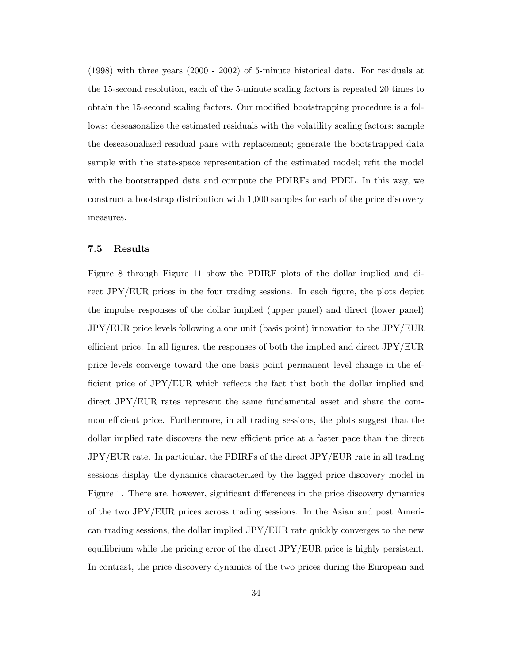(1998) with three years (2000 - 2002) of 5-minute historical data. For residuals at the 15-second resolution, each of the 5-minute scaling factors is repeated 20 times to obtain the 15-second scaling factors. Our modified bootstrapping procedure is a follows: deseasonalize the estimated residuals with the volatility scaling factors; sample the deseasonalized residual pairs with replacement; generate the bootstrapped data sample with the state-space representation of the estimated model; refit the model with the bootstrapped data and compute the PDIRFs and PDEL. In this way, we construct a bootstrap distribution with 1,000 samples for each of the price discovery measures.

#### 7.5 Results

Figure 8 through Figure 11 show the PDIRF plots of the dollar implied and direct JPY/EUR prices in the four trading sessions. In each figure, the plots depict the impulse responses of the dollar implied (upper panel) and direct (lower panel) JPY/EUR price levels following a one unit (basis point) innovation to the JPY/EUR efficient price. In all figures, the responses of both the implied and direct JPY/EUR price levels converge toward the one basis point permanent level change in the efficient price of JPY/EUR which reflects the fact that both the dollar implied and direct JPY/EUR rates represent the same fundamental asset and share the common efficient price. Furthermore, in all trading sessions, the plots suggest that the dollar implied rate discovers the new efficient price at a faster pace than the direct JPY/EUR rate. In particular, the PDIRFs of the direct JPY/EUR rate in all trading sessions display the dynamics characterized by the lagged price discovery model in Figure 1. There are, however, significant differences in the price discovery dynamics of the two JPY/EUR prices across trading sessions. In the Asian and post American trading sessions, the dollar implied JPY/EUR rate quickly converges to the new equilibrium while the pricing error of the direct JPY/EUR price is highly persistent. In contrast, the price discovery dynamics of the two prices during the European and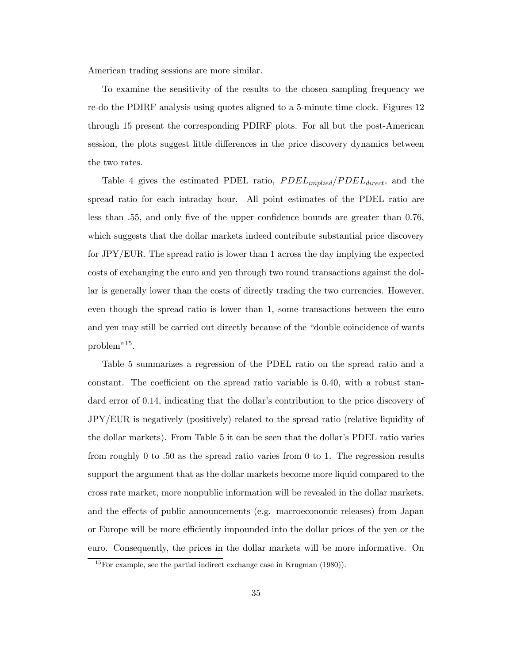American trading sessions are more similar.

To examine the sensitivity of the results to the chosen sampling frequency we re-do the PDIRF analysis using quotes aligned to a 5-minute time clock. Figures 12 through 15 present the corresponding PDIRF plots. For all but the post-American session, the plots suggest little differences in the price discovery dynamics between the two rates.

Table 4 gives the estimated PDEL ratio,  $PDEL_{implied}/PDEL_{direct}$ , and the spread ratio for each intraday hour. All point estimates of the PDEL ratio are less than .55, and only five of the upper confidence bounds are greater than 0.76, which suggests that the dollar markets indeed contribute substantial price discovery for JPY/EUR. The spread ratio is lower than 1 across the day implying the expected costs of exchanging the euro and yen through two round transactions against the dollar is generally lower than the costs of directly trading the two currencies. However, even though the spread ratio is lower than 1, some transactions between the euro and yen may still be carried out directly because of the "double coincidence of wants problem"15.

Table 5 summarizes a regression of the PDEL ratio on the spread ratio and a constant. The coefficient on the spread ratio variable is 0.40, with a robust standard error of 0.14, indicating that the dollar's contribution to the price discovery of JPY/EUR is negatively (positively) related to the spread ratio (relative liquidity of the dollar markets). From Table 5 it can be seen that the dollar's PDEL ratio varies from roughly 0 to .50 as the spread ratio varies from 0 to 1. The regression results support the argument that as the dollar markets become more liquid compared to the cross rate market, more nonpublic information will be revealed in the dollar markets, and the effects of public announcements (e.g. macroeconomic releases) from Japan or Europe will be more efficiently impounded into the dollar prices of the yen or the euro. Consequently, the prices in the dollar markets will be more informative. On

 $15$ For example, see the partial indirect exchange case in Krugman (1980)).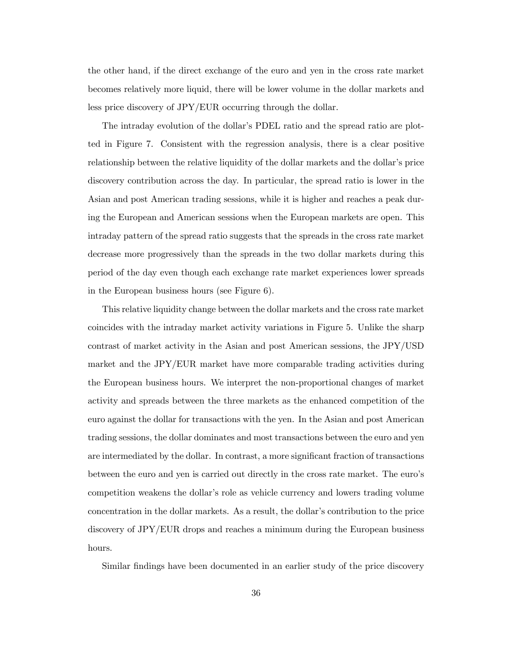the other hand, if the direct exchange of the euro and yen in the cross rate market becomes relatively more liquid, there will be lower volume in the dollar markets and less price discovery of JPY/EUR occurring through the dollar.

The intraday evolution of the dollar's PDEL ratio and the spread ratio are plotted in Figure 7. Consistent with the regression analysis, there is a clear positive relationship between the relative liquidity of the dollar markets and the dollar's price discovery contribution across the day. In particular, the spread ratio is lower in the Asian and post American trading sessions, while it is higher and reaches a peak during the European and American sessions when the European markets are open. This intraday pattern of the spread ratio suggests that the spreads in the cross rate market decrease more progressively than the spreads in the two dollar markets during this period of the day even though each exchange rate market experiences lower spreads in the European business hours (see Figure 6).

This relative liquidity change between the dollar markets and the cross rate market coincides with the intraday market activity variations in Figure 5. Unlike the sharp contrast of market activity in the Asian and post American sessions, the JPY/USD market and the JPY/EUR market have more comparable trading activities during the European business hours. We interpret the non-proportional changes of market activity and spreads between the three markets as the enhanced competition of the euro against the dollar for transactions with the yen. In the Asian and post American trading sessions, the dollar dominates and most transactions between the euro and yen are intermediated by the dollar. In contrast, a more significant fraction of transactions between the euro and yen is carried out directly in the cross rate market. The euro's competition weakens the dollar's role as vehicle currency and lowers trading volume concentration in the dollar markets. As a result, the dollar's contribution to the price discovery of JPY/EUR drops and reaches a minimum during the European business hours.

Similar findings have been documented in an earlier study of the price discovery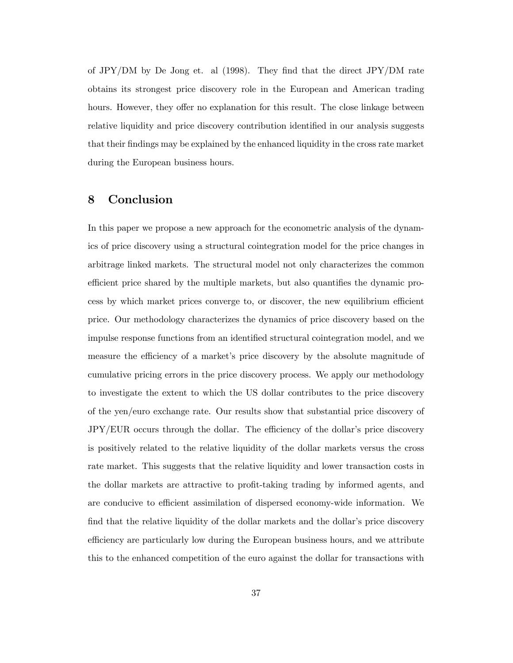of JPY/DM by De Jong et. al (1998). They find that the direct JPY/DM rate obtains its strongest price discovery role in the European and American trading hours. However, they offer no explanation for this result. The close linkage between relative liquidity and price discovery contribution identified in our analysis suggests that their findings may be explained by the enhanced liquidity in the cross rate market during the European business hours.

## 8 Conclusion

In this paper we propose a new approach for the econometric analysis of the dynamics of price discovery using a structural cointegration model for the price changes in arbitrage linked markets. The structural model not only characterizes the common efficient price shared by the multiple markets, but also quantifies the dynamic process by which market prices converge to, or discover, the new equilibrium efficient price. Our methodology characterizes the dynamics of price discovery based on the impulse response functions from an identified structural cointegration model, and we measure the efficiency of a market's price discovery by the absolute magnitude of cumulative pricing errors in the price discovery process. We apply our methodology to investigate the extent to which the US dollar contributes to the price discovery of the yen/euro exchange rate. Our results show that substantial price discovery of JPY/EUR occurs through the dollar. The efficiency of the dollar's price discovery is positively related to the relative liquidity of the dollar markets versus the cross rate market. This suggests that the relative liquidity and lower transaction costs in the dollar markets are attractive to profit-taking trading by informed agents, and are conducive to efficient assimilation of dispersed economy-wide information. We find that the relative liquidity of the dollar markets and the dollar's price discovery efficiency are particularly low during the European business hours, and we attribute this to the enhanced competition of the euro against the dollar for transactions with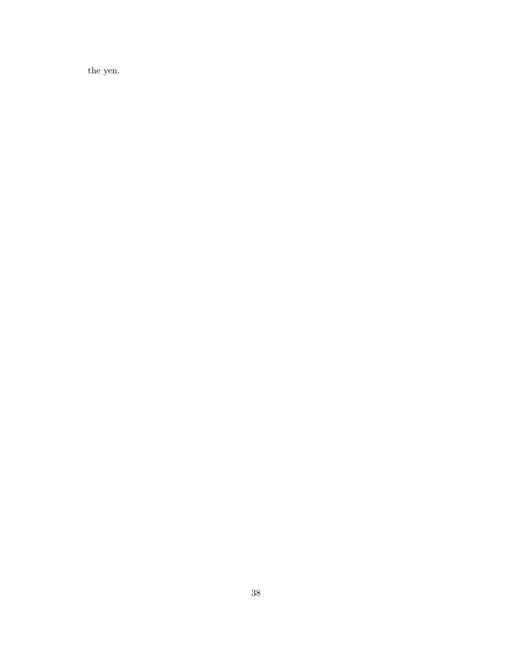the yen.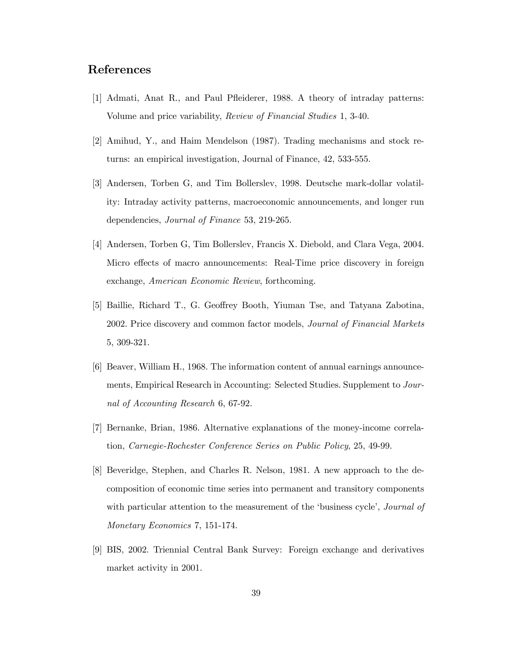## References

- [1] Admati, Anat R., and Paul Pfleiderer, 1988. A theory of intraday patterns: Volume and price variability, Review of Financial Studies 1, 3-40.
- [2] Amihud, Y., and Haim Mendelson (1987). Trading mechanisms and stock returns: an empirical investigation, Journal of Finance, 42, 533-555.
- [3] Andersen, Torben G, and Tim Bollerslev, 1998. Deutsche mark-dollar volatility: Intraday activity patterns, macroeconomic announcements, and longer run dependencies, Journal of Finance 53, 219-265.
- [4] Andersen, Torben G, Tim Bollerslev, Francis X. Diebold, and Clara Vega, 2004. Micro effects of macro announcements: Real-Time price discovery in foreign exchange, American Economic Review, forthcoming.
- [5] Baillie, Richard T., G. Geoffrey Booth, Yiuman Tse, and Tatyana Zabotina, 2002. Price discovery and common factor models, Journal of Financial Markets 5, 309-321.
- [6] Beaver, William H., 1968. The information content of annual earnings announcements, Empirical Research in Accounting: Selected Studies. Supplement to Journal of Accounting Research 6, 67-92.
- [7] Bernanke, Brian, 1986. Alternative explanations of the money-income correlation, Carnegie-Rochester Conference Series on Public Policy, 25, 49-99.
- [8] Beveridge, Stephen, and Charles R. Nelson, 1981. A new approach to the decomposition of economic time series into permanent and transitory components with particular attention to the measurement of the 'business cycle', *Journal of* Monetary Economics 7, 151-174.
- [9] BIS, 2002. Triennial Central Bank Survey: Foreign exchange and derivatives market activity in 2001.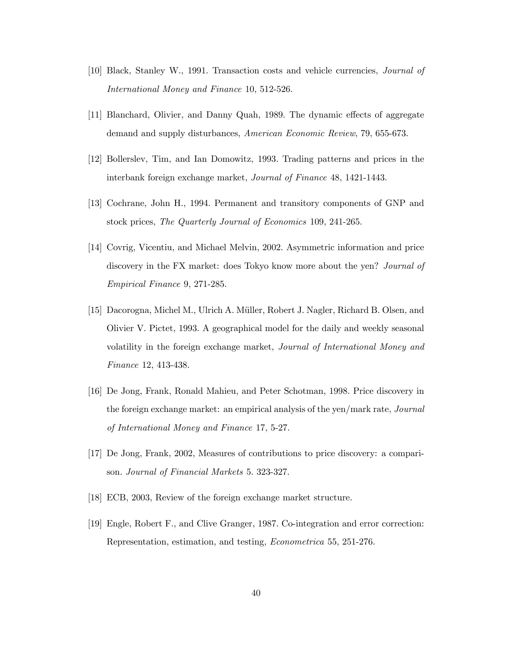- [10] Black, Stanley W., 1991. Transaction costs and vehicle currencies, Journal of International Money and Finance 10, 512-526.
- [11] Blanchard, Olivier, and Danny Quah, 1989. The dynamic effects of aggregate demand and supply disturbances, American Economic Review, 79, 655-673.
- [12] Bollerslev, Tim, and Ian Domowitz, 1993. Trading patterns and prices in the interbank foreign exchange market, Journal of Finance 48, 1421-1443.
- [13] Cochrane, John H., 1994. Permanent and transitory components of GNP and stock prices, The Quarterly Journal of Economics 109, 241-265.
- [14] Covrig, Vicentiu, and Michael Melvin, 2002. Asymmetric information and price discovery in the FX market: does Tokyo know more about the yen? Journal of Empirical Finance 9, 271-285.
- [15] Dacorogna, Michel M., Ulrich A. M¨uller, Robert J. Nagler, Richard B. Olsen, and Olivier V. Pictet, 1993. A geographical model for the daily and weekly seasonal volatility in the foreign exchange market, Journal of International Money and Finance 12, 413-438.
- [16] De Jong, Frank, Ronald Mahieu, and Peter Schotman, 1998. Price discovery in the foreign exchange market: an empirical analysis of the yen/mark rate, Journal of International Money and Finance 17, 5-27.
- [17] De Jong, Frank, 2002, Measures of contributions to price discovery: a comparison. Journal of Financial Markets 5. 323-327.
- [18] ECB, 2003, Review of the foreign exchange market structure.
- [19] Engle, Robert F., and Clive Granger, 1987. Co-integration and error correction: Representation, estimation, and testing, Econometrica 55, 251-276.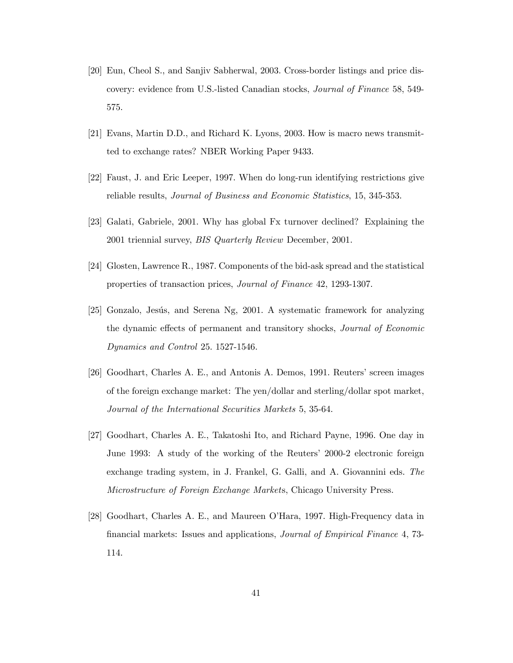- [20] Eun, Cheol S., and Sanjiv Sabherwal, 2003. Cross-border listings and price discovery: evidence from U.S.-listed Canadian stocks, Journal of Finance 58, 549- 575.
- [21] Evans, Martin D.D., and Richard K. Lyons, 2003. How is macro news transmitted to exchange rates? NBER Working Paper 9433.
- [22] Faust, J. and Eric Leeper, 1997. When do long-run identifying restrictions give reliable results, Journal of Business and Economic Statistics, 15, 345-353.
- [23] Galati, Gabriele, 2001. Why has global Fx turnover declined? Explaining the 2001 triennial survey, BIS Quarterly Review December, 2001.
- [24] Glosten, Lawrence R., 1987. Components of the bid-ask spread and the statistical properties of transaction prices, Journal of Finance 42, 1293-1307.
- $[25]$  Gonzalo, Jesús, and Serena Ng, 2001. A systematic framework for analyzing the dynamic effects of permanent and transitory shocks, Journal of Economic Dynamics and Control 25. 1527-1546.
- [26] Goodhart, Charles A. E., and Antonis A. Demos, 1991. Reuters' screen images of the foreign exchange market: The yen/dollar and sterling/dollar spot market, Journal of the International Securities Markets 5, 35-64.
- [27] Goodhart, Charles A. E., Takatoshi Ito, and Richard Payne, 1996. One day in June 1993: A study of the working of the Reuters' 2000-2 electronic foreign exchange trading system, in J. Frankel, G. Galli, and A. Giovannini eds. The Microstructure of Foreign Exchange Markets, Chicago University Press.
- [28] Goodhart, Charles A. E., and Maureen O'Hara, 1997. High-Frequency data in financial markets: Issues and applications, Journal of Empirical Finance 4, 73- 114.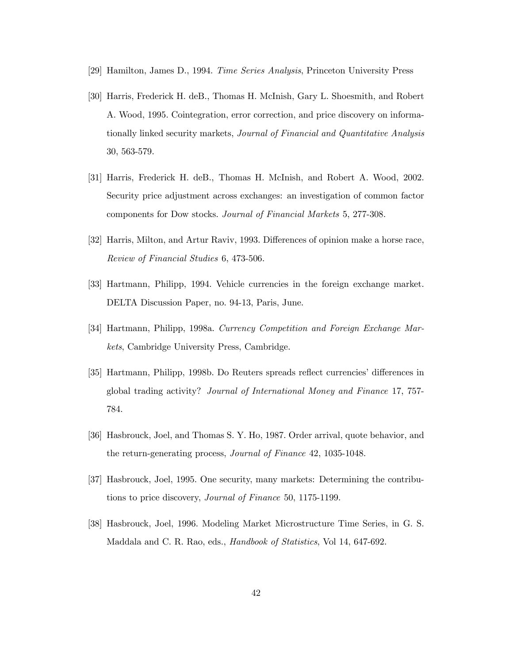- [29] Hamilton, James D., 1994. Time Series Analysis, Princeton University Press
- [30] Harris, Frederick H. deB., Thomas H. McInish, Gary L. Shoesmith, and Robert A. Wood, 1995. Cointegration, error correction, and price discovery on informationally linked security markets, Journal of Financial and Quantitative Analysis 30, 563-579.
- [31] Harris, Frederick H. deB., Thomas H. McInish, and Robert A. Wood, 2002. Security price adjustment across exchanges: an investigation of common factor components for Dow stocks. Journal of Financial Markets 5, 277-308.
- [32] Harris, Milton, and Artur Raviv, 1993. Differences of opinion make a horse race, Review of Financial Studies 6, 473-506.
- [33] Hartmann, Philipp, 1994. Vehicle currencies in the foreign exchange market. DELTA Discussion Paper, no. 94-13, Paris, June.
- [34] Hartmann, Philipp, 1998a. Currency Competition and Foreign Exchange Markets, Cambridge University Press, Cambridge.
- [35] Hartmann, Philipp, 1998b. Do Reuters spreads reflect currencies' differences in global trading activity? Journal of International Money and Finance 17, 757- 784.
- [36] Hasbrouck, Joel, and Thomas S. Y. Ho, 1987. Order arrival, quote behavior, and the return-generating process, Journal of Finance 42, 1035-1048.
- [37] Hasbrouck, Joel, 1995. One security, many markets: Determining the contributions to price discovery, Journal of Finance 50, 1175-1199.
- [38] Hasbrouck, Joel, 1996. Modeling Market Microstructure Time Series, in G. S. Maddala and C. R. Rao, eds., Handbook of Statistics, Vol 14, 647-692.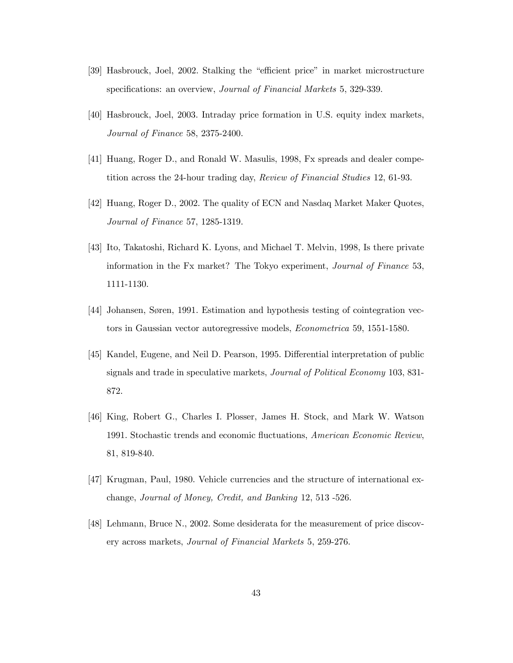- [39] Hasbrouck, Joel, 2002. Stalking the "efficient price" in market microstructure specifications: an overview, Journal of Financial Markets 5, 329-339.
- [40] Hasbrouck, Joel, 2003. Intraday price formation in U.S. equity index markets, Journal of Finance 58, 2375-2400.
- [41] Huang, Roger D., and Ronald W. Masulis, 1998, Fx spreads and dealer competition across the 24-hour trading day, Review of Financial Studies 12, 61-93.
- [42] Huang, Roger D., 2002. The quality of ECN and Nasdaq Market Maker Quotes, Journal of Finance 57, 1285-1319.
- [43] Ito, Takatoshi, Richard K. Lyons, and Michael T. Melvin, 1998, Is there private information in the Fx market? The Tokyo experiment, Journal of Finance 53, 1111-1130.
- [44] Johansen, Søren, 1991. Estimation and hypothesis testing of cointegration vectors in Gaussian vector autoregressive models, Econometrica 59, 1551-1580.
- [45] Kandel, Eugene, and Neil D. Pearson, 1995. Differential interpretation of public signals and trade in speculative markets, Journal of Political Economy 103, 831- 872.
- [46] King, Robert G., Charles I. Plosser, James H. Stock, and Mark W. Watson 1991. Stochastic trends and economic fluctuations, American Economic Review, 81, 819-840.
- [47] Krugman, Paul, 1980. Vehicle currencies and the structure of international exchange, Journal of Money, Credit, and Banking 12, 513 -526.
- [48] Lehmann, Bruce N., 2002. Some desiderata for the measurement of price discovery across markets, Journal of Financial Markets 5, 259-276.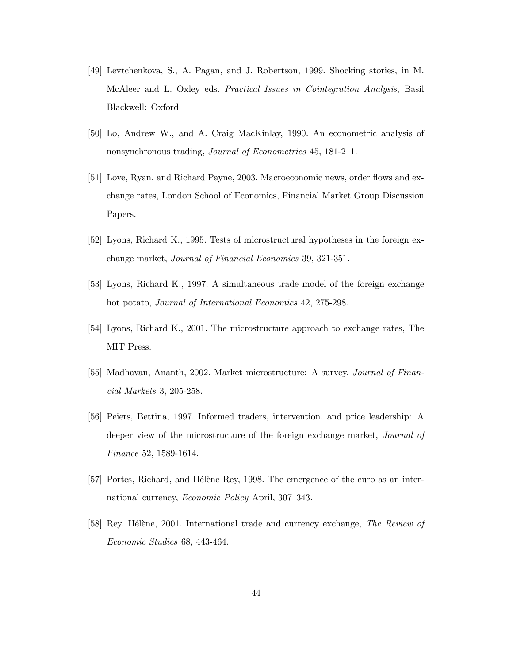- [49] Levtchenkova, S., A. Pagan, and J. Robertson, 1999. Shocking stories, in M. McAleer and L. Oxley eds. Practical Issues in Cointegration Analysis, Basil Blackwell: Oxford
- [50] Lo, Andrew W., and A. Craig MacKinlay, 1990. An econometric analysis of nonsynchronous trading, Journal of Econometrics 45, 181-211.
- [51] Love, Ryan, and Richard Payne, 2003. Macroeconomic news, order flows and exchange rates, London School of Economics, Financial Market Group Discussion Papers.
- [52] Lyons, Richard K., 1995. Tests of microstructural hypotheses in the foreign exchange market, Journal of Financial Economics 39, 321-351.
- [53] Lyons, Richard K., 1997. A simultaneous trade model of the foreign exchange hot potato, Journal of International Economics 42, 275-298.
- [54] Lyons, Richard K., 2001. The microstructure approach to exchange rates, The MIT Press.
- [55] Madhavan, Ananth, 2002. Market microstructure: A survey, Journal of Financial Markets 3, 205-258.
- [56] Peiers, Bettina, 1997. Informed traders, intervention, and price leadership: A deeper view of the microstructure of the foreign exchange market, Journal of Finance 52, 1589-1614.
- [57] Portes, Richard, and Hélène Rey, 1998. The emergence of the euro as an international currency, Economic Policy April, 307—343.
- [58] Rey, Hélène, 2001. International trade and currency exchange, The Review of Economic Studies 68, 443-464.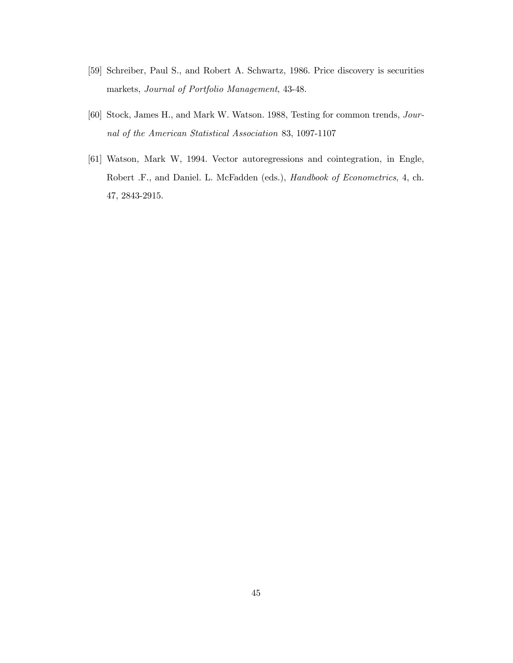- [59] Schreiber, Paul S., and Robert A. Schwartz, 1986. Price discovery is securities markets, Journal of Portfolio Management, 43-48.
- [60] Stock, James H., and Mark W. Watson. 1988, Testing for common trends, Journal of the American Statistical Association 83, 1097-1107
- [61] Watson, Mark W, 1994. Vector autoregressions and cointegration, in Engle, Robert .F., and Daniel. L. McFadden (eds.), Handbook of Econometrics, 4, ch. 47, 2843-2915.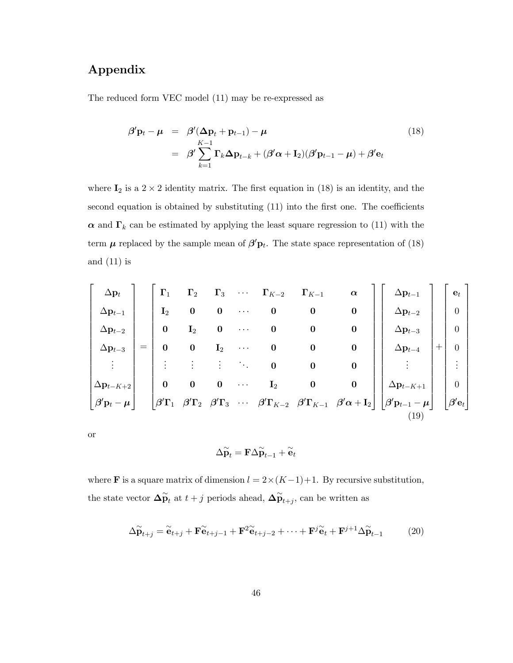## Appendix

The reduced form VEC model (11) may be re-expressed as

$$
\beta' \mathbf{p}_t - \boldsymbol{\mu} = \beta' (\Delta \mathbf{p}_t + \mathbf{p}_{t-1}) - \boldsymbol{\mu}
$$
  
= 
$$
\beta' \sum_{k=1}^{K-1} \Gamma_k \Delta \mathbf{p}_{t-k} + (\beta' \alpha + \mathbf{I}_2)(\beta' \mathbf{p}_{t-1} - \boldsymbol{\mu}) + \beta' \mathbf{e}_t
$$
 (18)

where  $I_2$  is a  $2 \times 2$  identity matrix. The first equation in (18) is an identity, and the second equation is obtained by substituting (11) into the first one. The coefficients  $\alpha$  and  $\Gamma_k$  can be estimated by applying the least square regression to (11) with the term  $\mu$  replaced by the sample mean of  $\beta' p_t$ . The state space representation of (18) and  $(11)$  is

$$
\begin{bmatrix}\n\Delta \mathbf{p}_{t} \\
\Delta \mathbf{p}_{t-1} \\
\Delta \mathbf{p}_{t-2} \\
\Delta \mathbf{p}_{t-3} \\
\vdots \\
\Delta \mathbf{p}_{t-k+2} \\
\beta' \mathbf{p}_{t} - \mu\n\end{bmatrix} = \begin{bmatrix}\n\Gamma_{1} & \Gamma_{2} & \Gamma_{3} & \cdots & \Gamma_{K-2} & \Gamma_{K-1} & \alpha \\
\Gamma_{2} & 0 & 0 & \cdots & 0 & 0 & 0 \\
0 & \Gamma_{2} & 0 & \cdots & 0 & 0 & 0 \\
0 & 0 & \Gamma_{2} & \cdots & 0 & 0 & 0 \\
\vdots & \vdots & \vdots & \ddots & 0 & 0 & 0 \\
0 & 0 & 0 & \cdots & \Gamma_{2} & 0 & 0 \\
\beta' \Gamma_{1} & \beta' \Gamma_{2} & \beta' \Gamma_{3} & \cdots & \beta' \Gamma_{K-2} & \beta' \Gamma_{K-1} & \beta' \alpha + \mathbf{I}_{2}\n\end{bmatrix} \begin{bmatrix}\n\Delta \mathbf{p}_{t-1} \\
\Delta \mathbf{p}_{t-1} \\
\Delta \mathbf{p}_{t-2} \\
\Delta \mathbf{p}_{t-3} \\
\Delta \mathbf{p}_{t-4} \\
\beta' \mathbf{p}_{t-1} - \mu\n\end{bmatrix} + \begin{bmatrix}\n\mathbf{e}_{t} \\
\mathbf{0} \\
\mathbf{0} \\
\mathbf{0} \\
\mathbf{0} \\
\mathbf{0} \\
\mathbf{0} \\
\mathbf{0} \\
\mathbf{0} \\
\mathbf{0} \\
\mathbf{0} \\
\mathbf{0} \\
\mathbf{0} \\
\mathbf{0} \\
\mathbf{0} \\
\mathbf{0} \\
\mathbf{0} \\
\mathbf{0} \\
\mathbf{0} \\
\mathbf{0} \\
\mathbf{0} \\
\mathbf{0} \\
\mathbf{0} \\
\mathbf{0} \\
\mathbf{0} \\
\mathbf{0} \\
\mathbf{0} \\
\mathbf{0} \\
\mathbf{0} \\
\mathbf{0} \\
\mathbf{0} \\
\mathbf{0} \\
\mathbf{0} \\
\mathbf{0} \\
\mathbf{0} \\
\mathbf{0} \\
\mathbf{0} \\
\mathbf{0} \\
\mathbf{0} \\
\mathbf{0} \\
\mathbf{0} \\
\mathbf{0} \\
\mathbf{0} \\
\mathbf{0} \\
\mathbf{0}
$$

or

$$
\Delta \widetilde{\mathbf{p}}_t = \mathbf{F} \Delta \widetilde{\mathbf{p}}_{t-1} + \widetilde{\mathbf{e}}_t
$$

where **F** is a square matrix of dimension  $l = 2 \times (K-1)+1$ . By recursive substitution, the state vector  $\Delta \mathbf{p}_t$  at  $t + j$  periods ahead,  $\Delta \mathbf{p}_{t+j}$ , can be written as

$$
\Delta \widetilde{\mathbf{p}}_{t+j} = \widetilde{\mathbf{e}}_{t+j} + \mathbf{F} \widetilde{\mathbf{e}}_{t+j-1} + \mathbf{F}^2 \widetilde{\mathbf{e}}_{t+j-2} + \dots + \mathbf{F}^j \widetilde{\mathbf{e}}_t + \mathbf{F}^{j+1} \Delta \widetilde{\mathbf{p}}_{t-1}
$$
(20)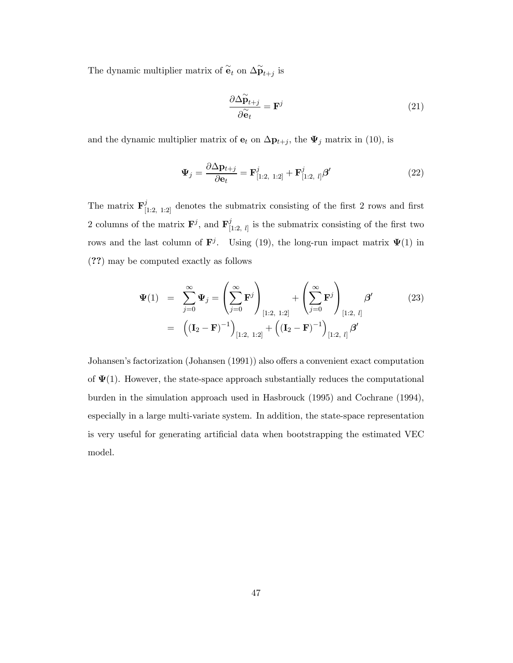The dynamic multiplier matrix of  $\tilde{e}_t$  on  $\Delta \tilde{p}_{t+j}$  is

$$
\frac{\partial \Delta \widetilde{\mathbf{p}}_{t+j}}{\partial \widetilde{\mathbf{e}}_t} = \mathbf{F}^j \tag{21}
$$

and the dynamic multiplier matrix of  $\mathbf{e}_t$  on  $\Delta \mathbf{p}_{t+j}$ , the  $\Psi_j$  matrix in (10), is

$$
\Psi_j = \frac{\partial \Delta \mathbf{p}_{t+j}}{\partial \mathbf{e}_t} = \mathbf{F}_{[1:2, 1:2]}^j + \mathbf{F}_{[1:2, l]}^j \boldsymbol{\beta}' \tag{22}
$$

The matrix  $\mathbf{F}_{[1:2, 1:2]}^j$  denotes the submatrix consisting of the first 2 rows and first 2 columns of the matrix  $\mathbf{F}^j$ , and  $\mathbf{F}^j_{[1:2, l]}$  is the submatrix consisting of the first two rows and the last column of  $\mathbf{F}^{j}$ . Using (19), the long-run impact matrix  $\Psi(1)$  in (??) may be computed exactly as follows

$$
\Psi(1) = \sum_{j=0}^{\infty} \Psi_j = \left(\sum_{j=0}^{\infty} \mathbf{F}^j\right)_{[1:2, 1:2]} + \left(\sum_{j=0}^{\infty} \mathbf{F}^j\right)_{[1:2, 1]} \beta'
$$
(23)  

$$
= \left(\left(\mathbf{I}_2 - \mathbf{F}\right)^{-1}\right)_{[1:2, 1:2]} + \left(\left(\mathbf{I}_2 - \mathbf{F}\right)^{-1}\right)_{[1:2, 1]} \beta'
$$

Johansen's factorization (Johansen (1991)) also offers a convenient exact computation of  $\Psi(1)$ . However, the state-space approach substantially reduces the computational burden in the simulation approach used in Hasbrouck (1995) and Cochrane (1994), especially in a large multi-variate system. In addition, the state-space representation is very useful for generating artificial data when bootstrapping the estimated VEC model.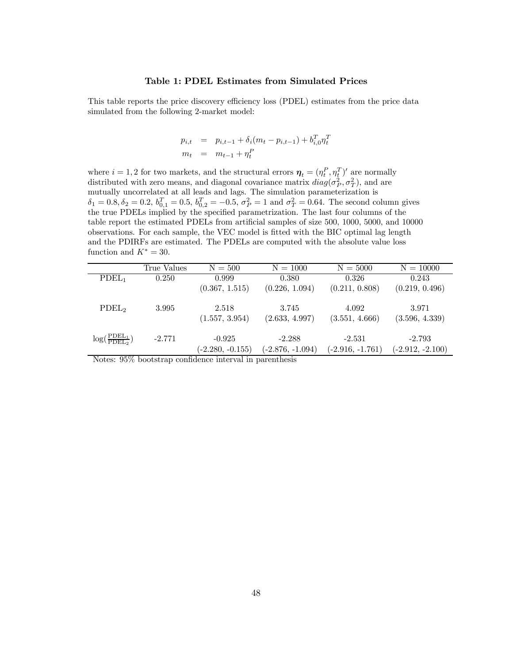#### Table 1: PDEL Estimates from Simulated Prices

This table reports the price discovery efficiency loss (PDEL) estimates from the price data simulated from the following 2-market model:

$$
p_{i,t} = p_{i,t-1} + \delta_i (m_t - p_{i,t-1}) + b_{i,0}^T \eta_t^T
$$
  

$$
m_t = m_{t-1} + \eta_t^P
$$

where  $i = 1, 2$  for two markets, and the structural errors  $\boldsymbol{\eta}_t = (\eta_t^P, \eta_t^T)'$  are normally distributed with zero means, and diagonal covariance matrix  $diag(\sigma_P^2, \sigma_T^2)$ , and are mutually uncorrelated at all leads and lags. The simulation parameterization is  $\delta_1 = 0.8, \delta_2 = 0.2, b_{0,1}^T = 0.5, b_{0,2}^T = -0.5, \sigma_P^2 = 1$  and  $\sigma_T^2 = 0.64$ . The second column gives the true PDELs implied by the specified parametrization. The last four columns of the table report the estimated PDELs from artificial samples of size 500, 1000, 5000, and 10000 observations. For each sample, the VEC model is fitted with the BIC optimal lag length and the PDIRFs are estimated. The PDELs are computed with the absolute value loss function and  $K^* = 30$ .

|                                             | True Values | $N = 500$          | $N = 1000$         | $N = 5000$         | $N = 10000$        |
|---------------------------------------------|-------------|--------------------|--------------------|--------------------|--------------------|
| $PDEL_1$                                    | 0.250       | 0.999              | 0.380              | 0.326              | 0.243              |
|                                             |             | (0.367, 1.515)     | (0.226, 1.094)     | (0.211, 0.808)     | (0.219, 0.496)     |
| PDEL <sub>2</sub>                           | 3.995       | 2.518              | 3.745              | 4.092              | 3.971              |
|                                             |             | (1.557, 3.954)     | (2.633, 4.997)     | (3.551, 4.666)     | (3.596, 4.339)     |
| $\log(\frac{\text{PDEL}_1}{\text{PDEL}_2})$ | $-2.771$    | $-0.925$           | $-2.288$           | $-2.531$           | $-2.793$           |
|                                             |             | $(-2.280, -0.155)$ | $(-2.876, -1.094)$ | $(-2.916, -1.761)$ | $(-2.912, -2.100)$ |

Notes: 95% bootstrap confidence interval in parenthesis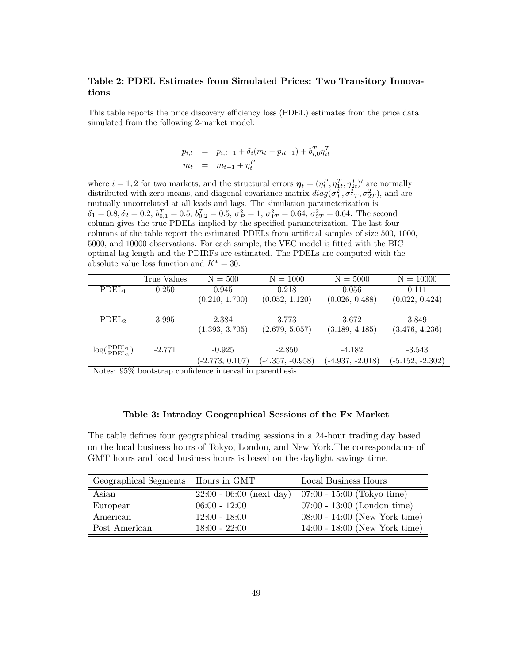#### Table 2: PDEL Estimates from Simulated Prices: Two Transitory Innovations

This table reports the price discovery efficiency loss (PDEL) estimates from the price data simulated from the following 2-market model:

$$
p_{i,t} = p_{i,t-1} + \delta_i (m_t - p_{it-1}) + b_{i,0}^T \eta_{it}^T
$$
  

$$
m_t = m_{t-1} + \eta_t^P
$$

where  $i = 1, 2$  for two markets, and the structural errors  $\boldsymbol{\eta}_t = (\eta_t^P, \eta_{1t}^T, \eta_{2t}^T)'$  are normally distributed with zero means, and diagonal covariance matrix  $diag(\sigma_T^2, \sigma_{1T}^2, \sigma_{2T}^2)$ , and are mutually uncorrelated at all leads and lags. The simulation parameterization is  $\delta_1 = 0.8, \delta_2 = 0.2, \, b_{0,1}^T = 0.5, \, b_{0,2}^T = 0.5, \, \sigma_P^2 = 1, \, \sigma_{1T}^2 = 0.64, \, \sigma_{2T}^2 = 0.64.$  The second column gives the true PDELs implied by the specified parametrization. The last four columns of the table report the estimated PDELs from artificial samples of size 500, 1000, 5000, and 10000 observations. For each sample, the VEC model is fitted with the BIC optimal lag length and the PDIRFs are estimated. The PDELs are computed with the absolute value loss function and  $K^* = 30$ .

|                              | True Values | $N = 500$         | $N = 1000$         | $N = 5000$         | $N = 10000$        |
|------------------------------|-------------|-------------------|--------------------|--------------------|--------------------|
| $PDEL_1$                     | 0.250       | 0.945             | 0.218              | 0.056              | 0.111              |
|                              |             | (0.210, 1.700)    | (0.052, 1.120)     | (0.026, 0.488)     | (0.022, 0.424)     |
| PDEL <sub>2</sub>            | 3.995       | 2.384             | 3.773              | 3.672              | 3.849              |
|                              |             | (1.393, 3.705)    | (2.679, 5.057)     | (3.189, 4.185)     | (3.476, 4.236)     |
| $log(\frac{PDEL_1}{PDEL_2})$ | $-2.771$    | $-0.925$          | $-2.850$           | $-4.182$           | $-3.543$           |
|                              |             |                   |                    |                    |                    |
|                              |             | $(-2.773, 0.107)$ | $(-4.357, -0.958)$ | $(-4.937, -2.018)$ | $(-5.152, -2.302)$ |
|                              |             |                   |                    |                    |                    |

Notes: 95% bootstrap confidence interval in parenthesis

#### Table 3: Intraday Geographical Sessions of the Fx Market

The table defines four geographical trading sessions in a 24-hour trading day based on the local business hours of Tokyo, London, and New York.The correspondance of GMT hours and local business hours is based on the daylight savings time.

| Geographical Segments Hours in GMT |                            | Local Business Hours            |
|------------------------------------|----------------------------|---------------------------------|
| Asian                              | $22:00 - 06:00$ (next day) | 07:00 - 15:00 (Tokyo time)      |
| European                           | $06:00 - 12:00$            | $07:00 - 13:00$ (London time)   |
| American                           | $12:00 - 18:00$            | $08:00 - 14:00$ (New York time) |
| Post American                      | $18:00 - 22:00$            | $14:00 - 18:00$ (New York time) |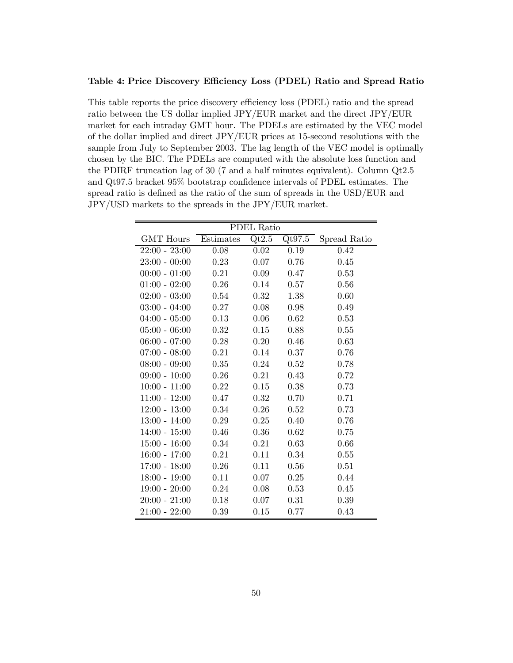#### Table 4: Price Discovery Efficiency Loss (PDEL) Ratio and Spread Ratio

This table reports the price discovery efficiency loss (PDEL) ratio and the spread ratio between the US dollar implied JPY/EUR market and the direct JPY/EUR market for each intraday GMT hour. The PDELs are estimated by the VEC model of the dollar implied and direct JPY/EUR prices at 15-second resolutions with the sample from July to September 2003. The lag length of the VEC model is optimally chosen by the BIC. The PDELs are computed with the absolute loss function and the PDIRF truncation lag of 30 (7 and a half minutes equivalent). Column  $Qt2.5$ and Qt97.5 bracket 95% bootstrap confidence intervals of PDEL estimates. The spread ratio is defined as the ratio of the sum of spreads in the USD/EUR and JPY/USD markets to the spreads in the JPY/EUR market.

| <b>PDEL Ratio</b> |           |       |        |              |  |
|-------------------|-----------|-------|--------|--------------|--|
| <b>GMT</b> Hours  | Estimates | Qt2.5 | Qt97.5 | Spread Ratio |  |
| $22:00 - 23:00$   | 0.08      | 0.02  | 0.19   | 0.42         |  |
| $23:00 - 00:00$   | 0.23      | 0.07  | 0.76   | 0.45         |  |
| $00:00 - 01:00$   | 0.21      | 0.09  | 0.47   | 0.53         |  |
| $01:00 - 02:00$   | 0.26      | 0.14  | 0.57   | 0.56         |  |
| $02:00 - 03:00$   | 0.54      | 0.32  | 1.38   | 0.60         |  |
| $03:00 - 04:00$   | 0.27      | 0.08  | 0.98   | 0.49         |  |
| $04:00 - 05:00$   | 0.13      | 0.06  | 0.62   | 0.53         |  |
| $05:00 - 06:00$   | 0.32      | 0.15  | 0.88   | 0.55         |  |
| $06:00 - 07:00$   | 0.28      | 0.20  | 0.46   | 0.63         |  |
| $07:00 - 08:00$   | 0.21      | 0.14  | 0.37   | 0.76         |  |
| $08:00 - 09:00$   | 0.35      | 0.24  | 0.52   | 0.78         |  |
| $09:00 - 10:00$   | 0.26      | 0.21  | 0.43   | 0.72         |  |
| $10:00 - 11:00$   | 0.22      | 0.15  | 0.38   | 0.73         |  |
| $11:00 - 12:00$   | 0.47      | 0.32  | 0.70   | 0.71         |  |
| $12:00 - 13:00$   | 0.34      | 0.26  | 0.52   | 0.73         |  |
| $13:00 - 14:00$   | 0.29      | 0.25  | 0.40   | 0.76         |  |
| $14:00 - 15:00$   | 0.46      | 0.36  | 0.62   | 0.75         |  |
| $15:00 - 16:00$   | 0.34      | 0.21  | 0.63   | 0.66         |  |
| $16:00 - 17:00$   | 0.21      | 0.11  | 0.34   | 0.55         |  |
| $17:00 - 18:00$   | 0.26      | 0.11  | 0.56   | 0.51         |  |
| $18:00 - 19:00$   | 0.11      | 0.07  | 0.25   | 0.44         |  |
| $19:00 - 20:00$   | 0.24      | 0.08  | 0.53   | 0.45         |  |
| $20:00 - 21:00$   | 0.18      | 0.07  | 0.31   | 0.39         |  |
| $21:00 - 22:00$   | 0.39      | 0.15  | 0.77   | 0.43         |  |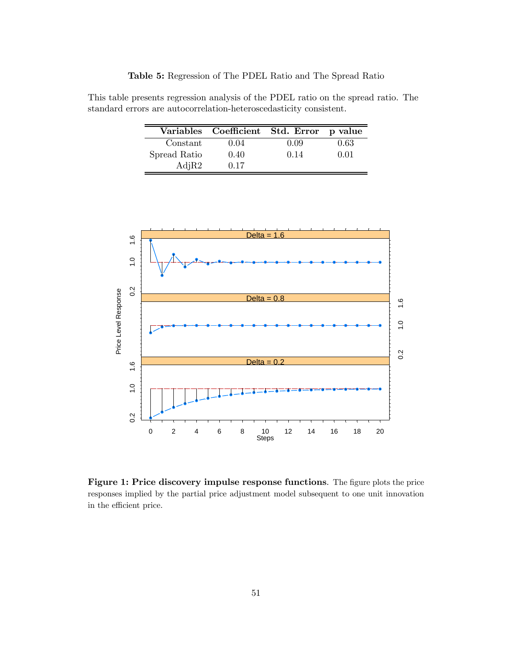This table presents regression analysis of the PDEL ratio on the spread ratio. The standard errors are autocorrelation-heteroscedasticity consistent.

|              |      | Variables Coefficient Std. Error p value |      |
|--------------|------|------------------------------------------|------|
| Constant     | 0.04 | 0.09                                     | 0.63 |
| Spread Ratio | 0.40 | 0.14                                     | 0.01 |
| AdjR2        | 0.17 |                                          |      |



Figure 1: Price discovery impulse response functions. The figure plots the price responses implied by the partial price adjustment model subsequent to one unit innovation in the efficient price.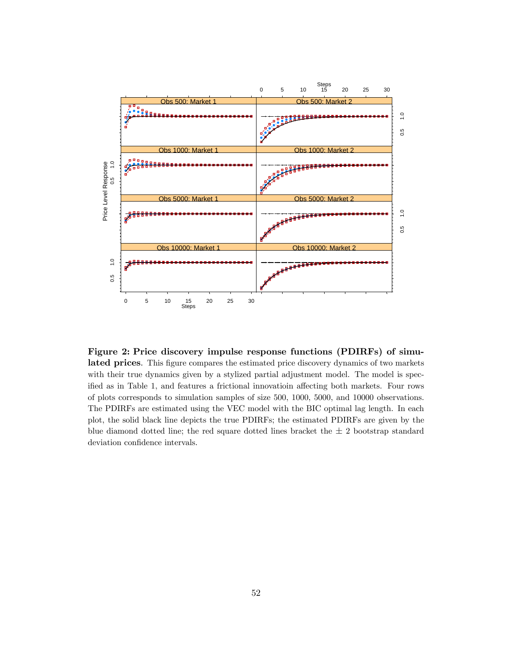

Figure 2: Price discovery impulse response functions (PDIRFs) of simulated prices. This figure compares the estimated price discovery dynamics of two markets with their true dynamics given by a stylized partial adjustment model. The model is specified as in Table 1, and features a frictional innovatioin affecting both markets. Four rows of plots corresponds to simulation samples of size 500, 1000, 5000, and 10000 observations. The PDIRFs are estimated using the VEC model with the BIC optimal lag length. In each plot, the solid black line depicts the true PDIRFs; the estimated PDIRFs are given by the blue diamond dotted line; the red square dotted lines bracket the  $\pm 2$  bootstrap standard deviation confidence intervals.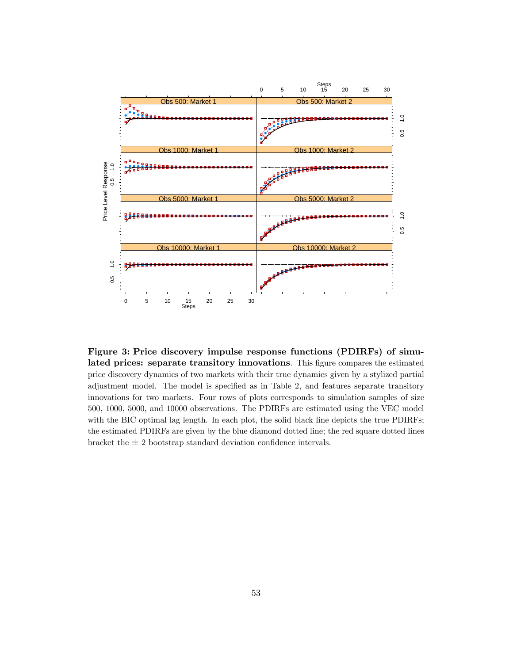

Figure 3: Price discovery impulse response functions (PDIRFs) of simulated prices: separate transitory innovations. This figure compares the estimated price discovery dynamics of two markets with their true dynamics given by a stylized partial adjustment model. The model is specified as in Table 2, and features separate transitory innovations for two markets. Four rows of plots corresponds to simulation samples of size 500, 1000, 5000, and 10000 observations. The PDIRFs are estimated using the VEC model with the BIC optimal lag length. In each plot, the solid black line depicts the true PDIRFs; the estimated PDIRFs are given by the blue diamond dotted line; the red square dotted lines bracket the  $\pm$  2 bootstrap standard deviation confidence intervals.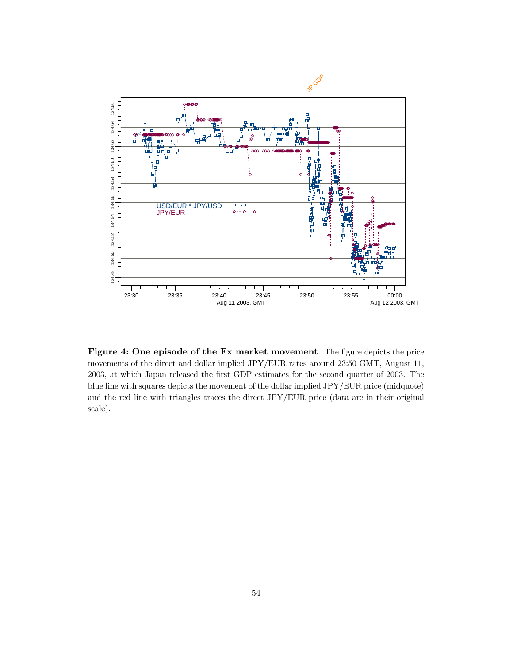

Figure 4: One episode of the Fx market movement. The figure depicts the price movements of the direct and dollar implied JPY/EUR rates around 23:50 GMT, August 11, 2003, at which Japan released the first GDP estimates for the second quarter of 2003. The blue line with squares depicts the movement of the dollar implied JPY/EUR price (midquote) and the red line with triangles traces the direct JPY/EUR price (data are in their original scale).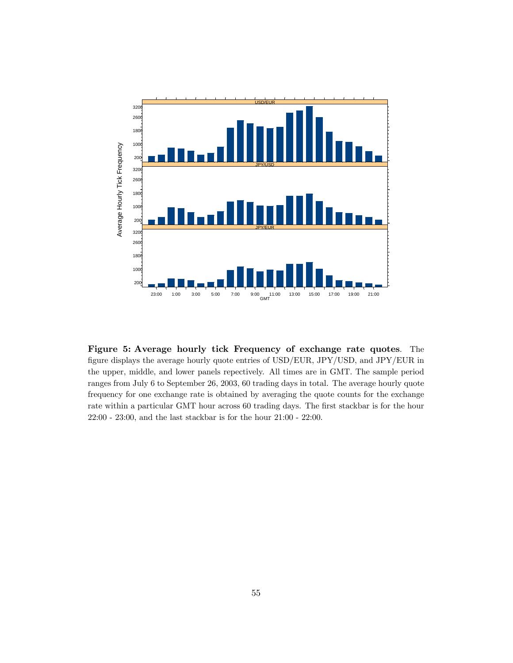

Figure 5: Average hourly tick Frequency of exchange rate quotes. The figure displays the average hourly quote entries of USD/EUR, JPY/USD, and JPY/EUR in the upper, middle, and lower panels repectively. All times are in GMT. The sample period ranges from July 6 to September 26, 2003, 60 trading days in total. The average hourly quote frequency for one exchange rate is obtained by averaging the quote counts for the exchange rate within a particular GMT hour across 60 trading days. The first stackbar is for the hour 22:00 - 23:00, and the last stackbar is for the hour 21:00 - 22:00.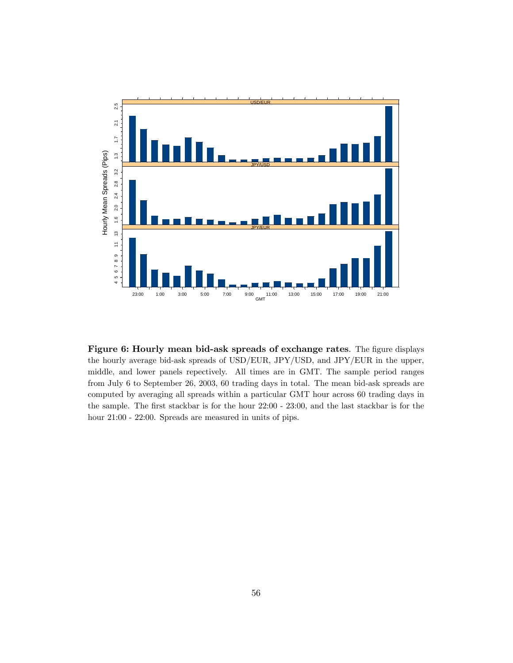

Figure 6: Hourly mean bid-ask spreads of exchange rates. The figure displays the hourly average bid-ask spreads of USD/EUR, JPY/USD, and JPY/EUR in the upper, middle, and lower panels repectively. All times are in GMT. The sample period ranges from July 6 to September 26, 2003, 60 trading days in total. The mean bid-ask spreads are computed by averaging all spreads within a particular GMT hour across 60 trading days in the sample. The first stackbar is for the hour 22:00 - 23:00, and the last stackbar is for the hour  $21:00$  -  $22:00$ . Spreads are measured in units of pips.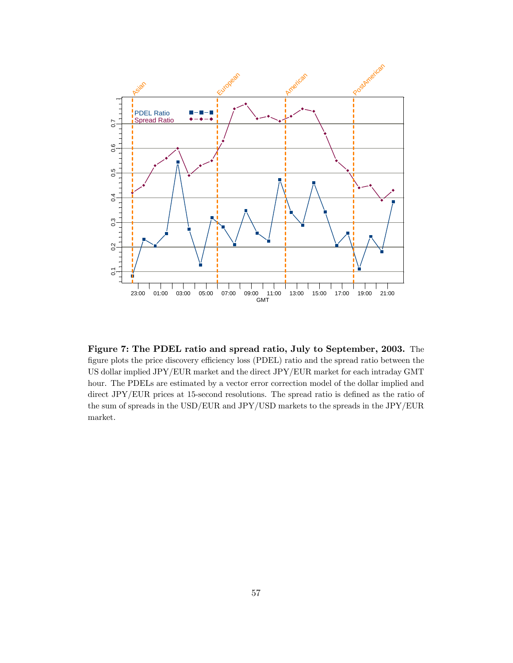

Figure 7: The PDEL ratio and spread ratio, July to September, 2003. The figure plots the price discovery efficiency loss (PDEL) ratio and the spread ratio between the US dollar implied JPY/EUR market and the direct JPY/EUR market for each intraday GMT hour. The PDELs are estimated by a vector error correction model of the dollar implied and direct JPY/EUR prices at 15-second resolutions. The spread ratio is defined as the ratio of the sum of spreads in the USD/EUR and JPY/USD markets to the spreads in the JPY/EUR market.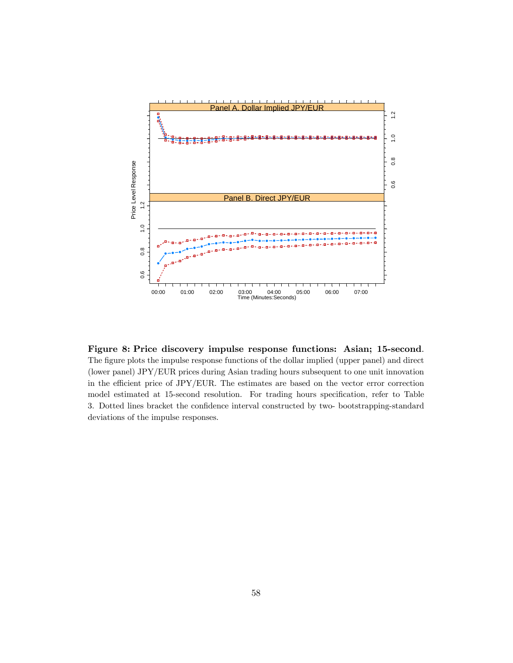

Figure 8: Price discovery impulse response functions: Asian; 15-second. The figure plots the impulse response functions of the dollar implied (upper panel) and direct (lower panel) JPY/EUR prices during Asian trading hours subsequent to one unit innovation in the efficient price of JPY/EUR. The estimates are based on the vector error correction model estimated at 15-second resolution. For trading hours specification, refer to Table 3. Dotted lines bracket the confidence interval constructed by two- bootstrapping-standard deviations of the impulse responses.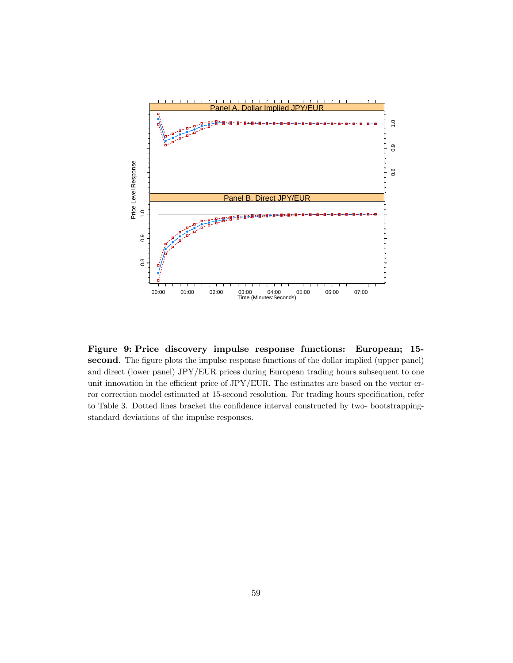

Figure 9: Price discovery impulse response functions: European; 15 second. The figure plots the impulse response functions of the dollar implied (upper panel) and direct (lower panel) JPY/EUR prices during European trading hours subsequent to one unit innovation in the efficient price of JPY/EUR. The estimates are based on the vector error correction model estimated at 15-second resolution. For trading hours specification, refer to Table 3. Dotted lines bracket the confidence interval constructed by two- bootstrappingstandard deviations of the impulse responses.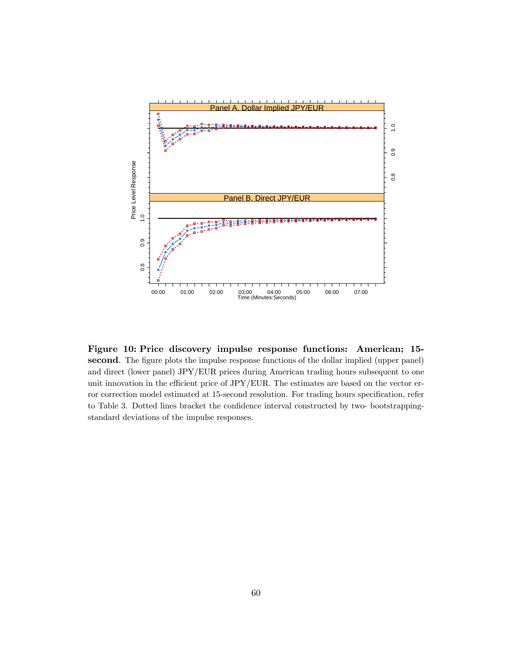

Figure 10: Price discovery impulse response functions: American; 15 second. The figure plots the impulse response functions of the dollar implied (upper panel) and direct (lower panel) JPY/EUR prices during American trading hours subsequent to one unit innovation in the efficient price of JPY/EUR. The estimates are based on the vector error correction model estimated at 15-second resolution. For trading hours specification, refer to Table 3. Dotted lines bracket the confidence interval constructed by two- bootstrappingstandard deviations of the impulse responses.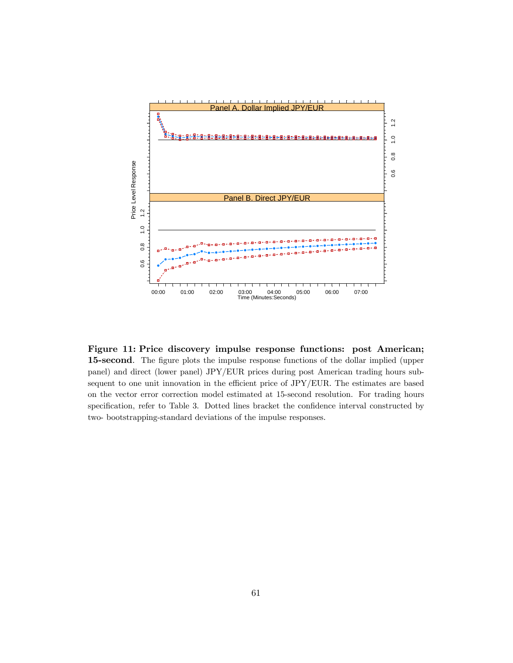

Figure 11: Price discovery impulse response functions: post American; 15-second. The figure plots the impulse response functions of the dollar implied (upper panel) and direct (lower panel) JPY/EUR prices during post American trading hours subsequent to one unit innovation in the efficient price of JPY/EUR. The estimates are based on the vector error correction model estimated at 15-second resolution. For trading hours specification, refer to Table 3. Dotted lines bracket the confidence interval constructed by two- bootstrapping-standard deviations of the impulse responses.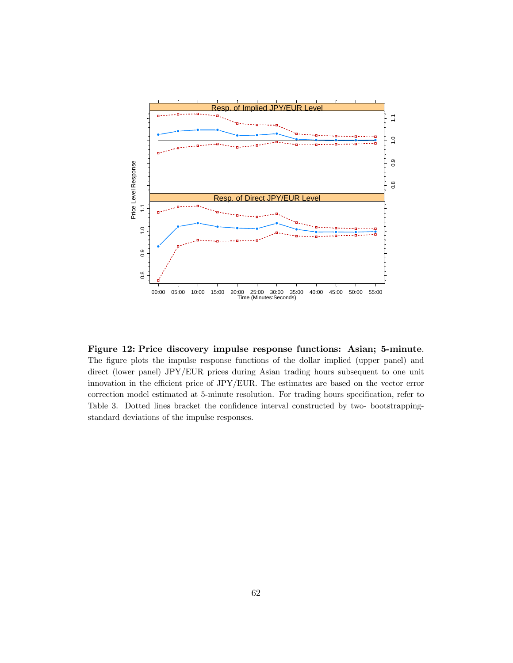

Figure 12: Price discovery impulse response functions: Asian; 5-minute. The figure plots the impulse response functions of the dollar implied (upper panel) and direct (lower panel) JPY/EUR prices during Asian trading hours subsequent to one unit innovation in the efficient price of JPY/EUR. The estimates are based on the vector error correction model estimated at 5-minute resolution. For trading hours specification, refer to Table 3. Dotted lines bracket the confidence interval constructed by two- bootstrappingstandard deviations of the impulse responses.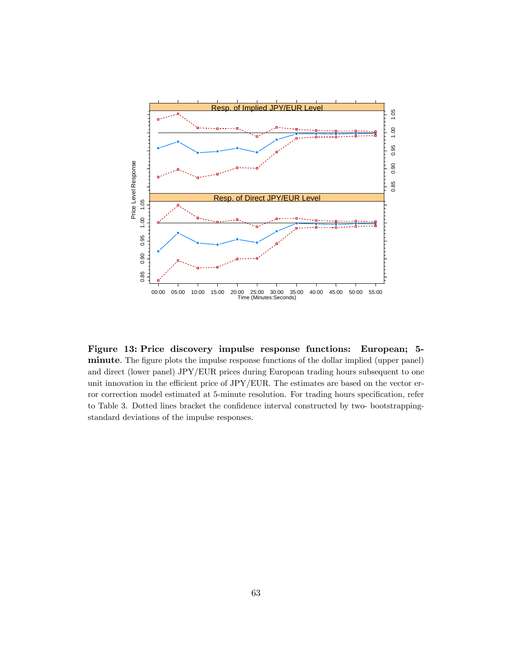

Figure 13: Price discovery impulse response functions: European; 5 minute. The figure plots the impulse response functions of the dollar implied (upper panel) and direct (lower panel) JPY/EUR prices during European trading hours subsequent to one unit innovation in the efficient price of JPY/EUR. The estimates are based on the vector error correction model estimated at 5-minute resolution. For trading hours specification, refer to Table 3. Dotted lines bracket the confidence interval constructed by two- bootstrappingstandard deviations of the impulse responses.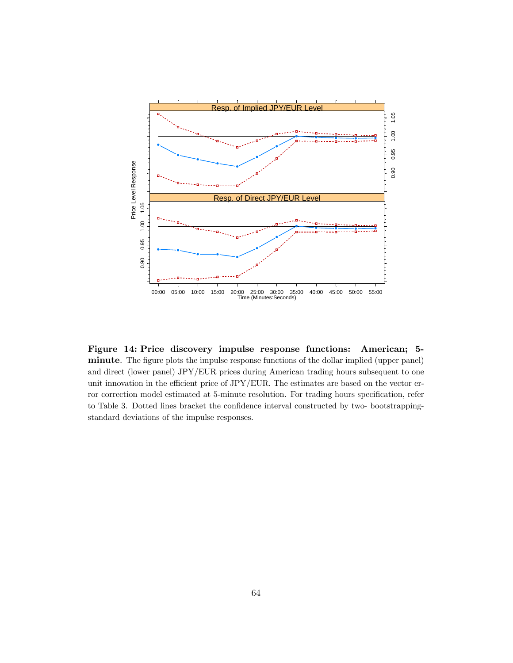

Figure 14: Price discovery impulse response functions: American; 5 minute. The figure plots the impulse response functions of the dollar implied (upper panel) and direct (lower panel) JPY/EUR prices during American trading hours subsequent to one unit innovation in the efficient price of JPY/EUR. The estimates are based on the vector error correction model estimated at 5-minute resolution. For trading hours specification, refer to Table 3. Dotted lines bracket the confidence interval constructed by two- bootstrappingstandard deviations of the impulse responses.